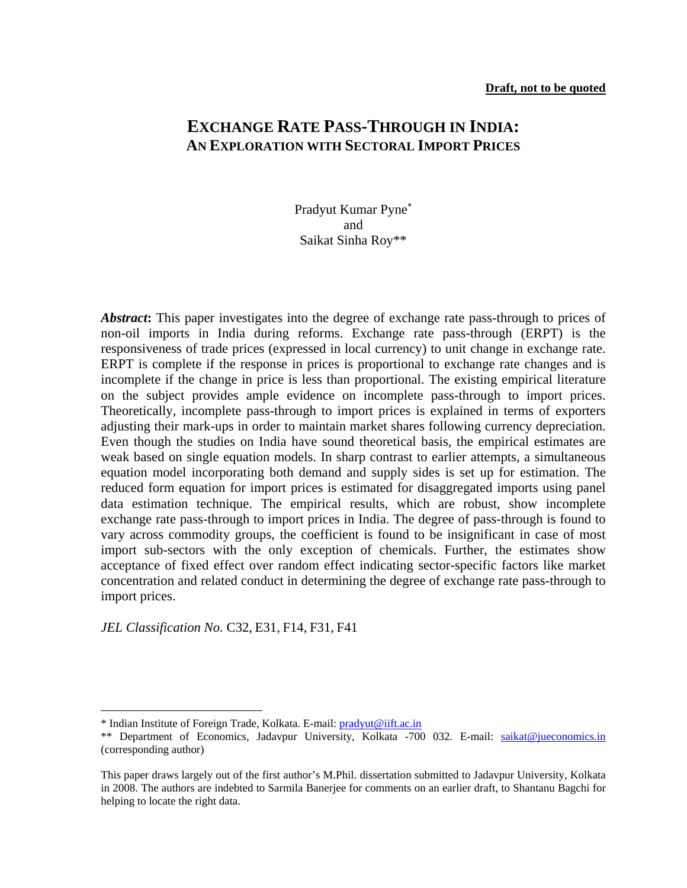## **EXCHANGE RATE PASS-THROUGH IN INDIA: AN EXPLORATION WITH SECTORAL IMPORT PRICES**

Pradyut Kumar Pyne<sup>∗</sup> and Saikat Sinha Roy\*\*

Abstract: This paper investigates into the degree of exchange rate pass-through to prices of non-oil imports in India during reforms. Exchange rate pass-through (ERPT) is the responsiveness of trade prices (expressed in local currency) to unit change in exchange rate. ERPT is complete if the response in prices is proportional to exchange rate changes and is incomplete if the change in price is less than proportional. The existing empirical literature on the subject provides ample evidence on incomplete pass-through to import prices. Theoretically, incomplete pass-through to import prices is explained in terms of exporters adjusting their mark-ups in order to maintain market shares following currency depreciation. Even though the studies on India have sound theoretical basis, the empirical estimates are weak based on single equation models. In sharp contrast to earlier attempts, a simultaneous equation model incorporating both demand and supply sides is set up for estimation. The reduced form equation for import prices is estimated for disaggregated imports using panel data estimation technique. The empirical results, which are robust, show incomplete exchange rate pass-through to import prices in India. The degree of pass-through is found to vary across commodity groups, the coefficient is found to be insignificant in case of most import sub-sectors with the only exception of chemicals. Further, the estimates show acceptance of fixed effect over random effect indicating sector-specific factors like market concentration and related conduct in determining the degree of exchange rate pass-through to import prices.

*JEL Classification No.* C32, E31, F14, F31, F41

 $\overline{a}$ 

<sup>\*</sup> Indian Institute of Foreign Trade, Kolkata. E-mail: pradyut@iift.ac.in

<sup>\*\*</sup> Department of Economics, Jadavpur University, Kolkata -700 032. E-mail: saikat@jueconomics.in (corresponding author)

This paper draws largely out of the first author's M.Phil. dissertation submitted to Jadavpur University, Kolkata in 2008. The authors are indebted to Sarmila Banerjee for comments on an earlier draft, to Shantanu Bagchi for helping to locate the right data.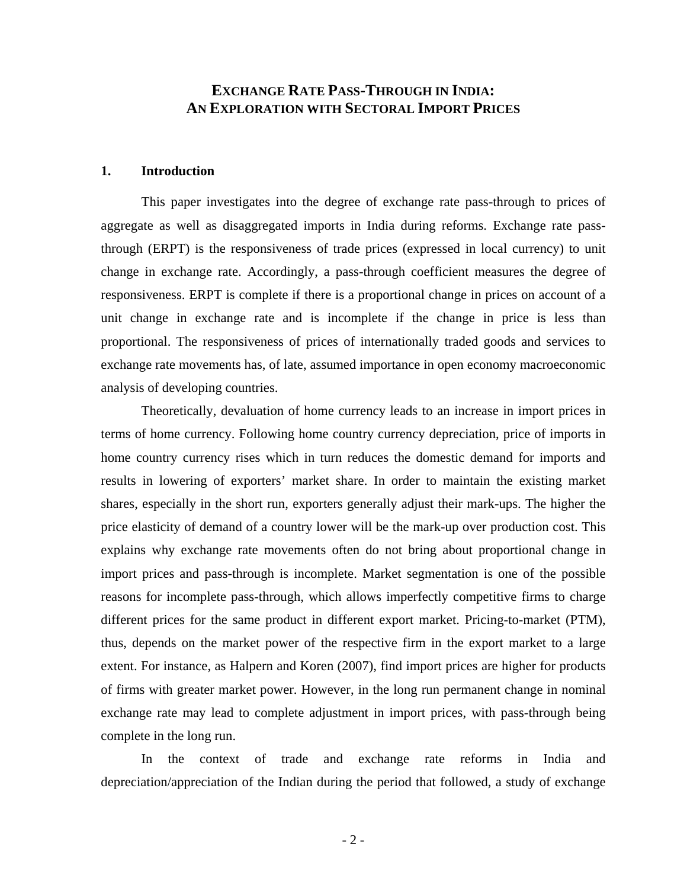## **EXCHANGE RATE PASS-THROUGH IN INDIA: AN EXPLORATION WITH SECTORAL IMPORT PRICES**

### **1. Introduction**

This paper investigates into the degree of exchange rate pass-through to prices of aggregate as well as disaggregated imports in India during reforms. Exchange rate passthrough (ERPT) is the responsiveness of trade prices (expressed in local currency) to unit change in exchange rate. Accordingly, a pass-through coefficient measures the degree of responsiveness. ERPT is complete if there is a proportional change in prices on account of a unit change in exchange rate and is incomplete if the change in price is less than proportional. The responsiveness of prices of internationally traded goods and services to exchange rate movements has, of late, assumed importance in open economy macroeconomic analysis of developing countries.

Theoretically, devaluation of home currency leads to an increase in import prices in terms of home currency. Following home country currency depreciation, price of imports in home country currency rises which in turn reduces the domestic demand for imports and results in lowering of exporters' market share. In order to maintain the existing market shares, especially in the short run, exporters generally adjust their mark-ups. The higher the price elasticity of demand of a country lower will be the mark-up over production cost. This explains why exchange rate movements often do not bring about proportional change in import prices and pass-through is incomplete. Market segmentation is one of the possible reasons for incomplete pass-through, which allows imperfectly competitive firms to charge different prices for the same product in different export market. Pricing-to-market (PTM), thus, depends on the market power of the respective firm in the export market to a large extent. For instance, as Halpern and Koren (2007), find import prices are higher for products of firms with greater market power. However, in the long run permanent change in nominal exchange rate may lead to complete adjustment in import prices, with pass-through being complete in the long run.

In the context of trade and exchange rate reforms in India and depreciation/appreciation of the Indian during the period that followed, a study of exchange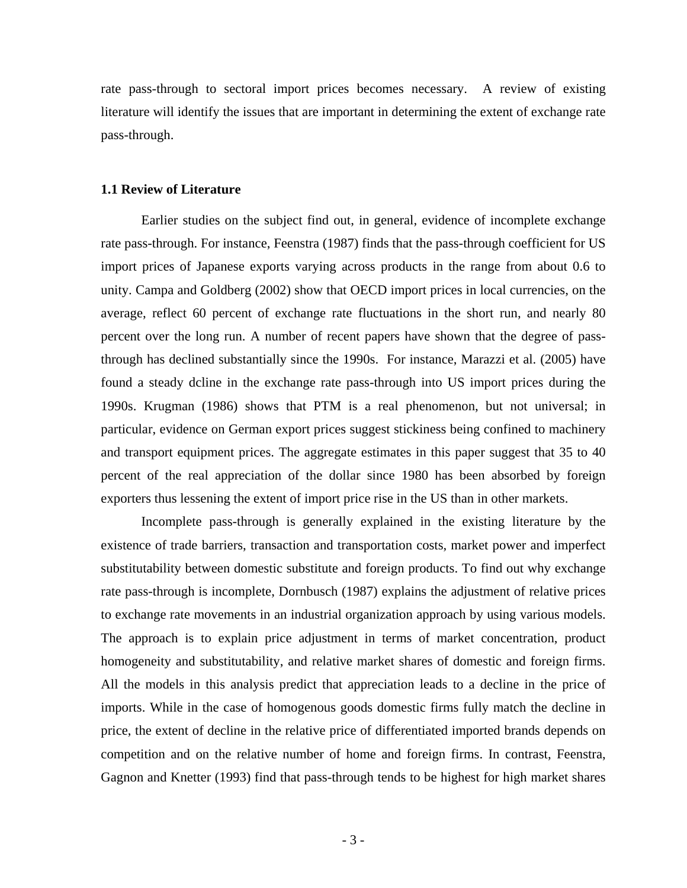rate pass-through to sectoral import prices becomes necessary. A review of existing literature will identify the issues that are important in determining the extent of exchange rate pass-through.

#### **1.1 Review of Literature**

Earlier studies on the subject find out, in general, evidence of incomplete exchange rate pass-through. For instance, Feenstra (1987) finds that the pass-through coefficient for US import prices of Japanese exports varying across products in the range from about 0.6 to unity. Campa and Goldberg (2002) show that OECD import prices in local currencies, on the average, reflect 60 percent of exchange rate fluctuations in the short run, and nearly 80 percent over the long run. A number of recent papers have shown that the degree of passthrough has declined substantially since the 1990s. For instance, Marazzi et al. (2005) have found a steady dcline in the exchange rate pass-through into US import prices during the 1990s. Krugman (1986) shows that PTM is a real phenomenon, but not universal; in particular, evidence on German export prices suggest stickiness being confined to machinery and transport equipment prices. The aggregate estimates in this paper suggest that 35 to 40 percent of the real appreciation of the dollar since 1980 has been absorbed by foreign exporters thus lessening the extent of import price rise in the US than in other markets.

Incomplete pass-through is generally explained in the existing literature by the existence of trade barriers, transaction and transportation costs, market power and imperfect substitutability between domestic substitute and foreign products. To find out why exchange rate pass-through is incomplete, Dornbusch (1987) explains the adjustment of relative prices to exchange rate movements in an industrial organization approach by using various models. The approach is to explain price adjustment in terms of market concentration, product homogeneity and substitutability, and relative market shares of domestic and foreign firms. All the models in this analysis predict that appreciation leads to a decline in the price of imports. While in the case of homogenous goods domestic firms fully match the decline in price, the extent of decline in the relative price of differentiated imported brands depends on competition and on the relative number of home and foreign firms. In contrast, Feenstra, Gagnon and Knetter (1993) find that pass-through tends to be highest for high market shares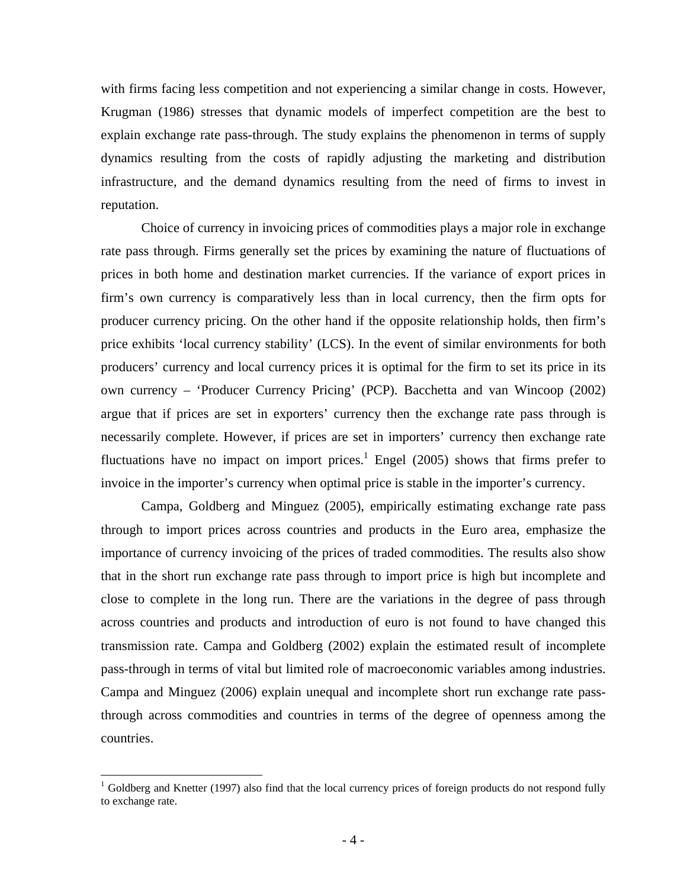with firms facing less competition and not experiencing a similar change in costs. However, Krugman (1986) stresses that dynamic models of imperfect competition are the best to explain exchange rate pass-through. The study explains the phenomenon in terms of supply dynamics resulting from the costs of rapidly adjusting the marketing and distribution infrastructure, and the demand dynamics resulting from the need of firms to invest in reputation.

Choice of currency in invoicing prices of commodities plays a major role in exchange rate pass through. Firms generally set the prices by examining the nature of fluctuations of prices in both home and destination market currencies. If the variance of export prices in firm's own currency is comparatively less than in local currency, then the firm opts for producer currency pricing. On the other hand if the opposite relationship holds, then firm's price exhibits 'local currency stability' (LCS). In the event of similar environments for both producers' currency and local currency prices it is optimal for the firm to set its price in its own currency – 'Producer Currency Pricing' (PCP). Bacchetta and van Wincoop (2002) argue that if prices are set in exporters' currency then the exchange rate pass through is necessarily complete. However, if prices are set in importers' currency then exchange rate fluctuations have no impact on import prices.<sup>1</sup> Engel  $(2005)$  shows that firms prefer to invoice in the importer's currency when optimal price is stable in the importer's currency.

Campa, Goldberg and Minguez (2005), empirically estimating exchange rate pass through to import prices across countries and products in the Euro area, emphasize the importance of currency invoicing of the prices of traded commodities. The results also show that in the short run exchange rate pass through to import price is high but incomplete and close to complete in the long run. There are the variations in the degree of pass through across countries and products and introduction of euro is not found to have changed this transmission rate. Campa and Goldberg (2002) explain the estimated result of incomplete pass-through in terms of vital but limited role of macroeconomic variables among industries. Campa and Minguez (2006) explain unequal and incomplete short run exchange rate passthrough across commodities and countries in terms of the degree of openness among the countries.

 $\overline{a}$ 

<sup>&</sup>lt;sup>1</sup> Goldberg and Knetter (1997) also find that the local currency prices of foreign products do not respond fully to exchange rate.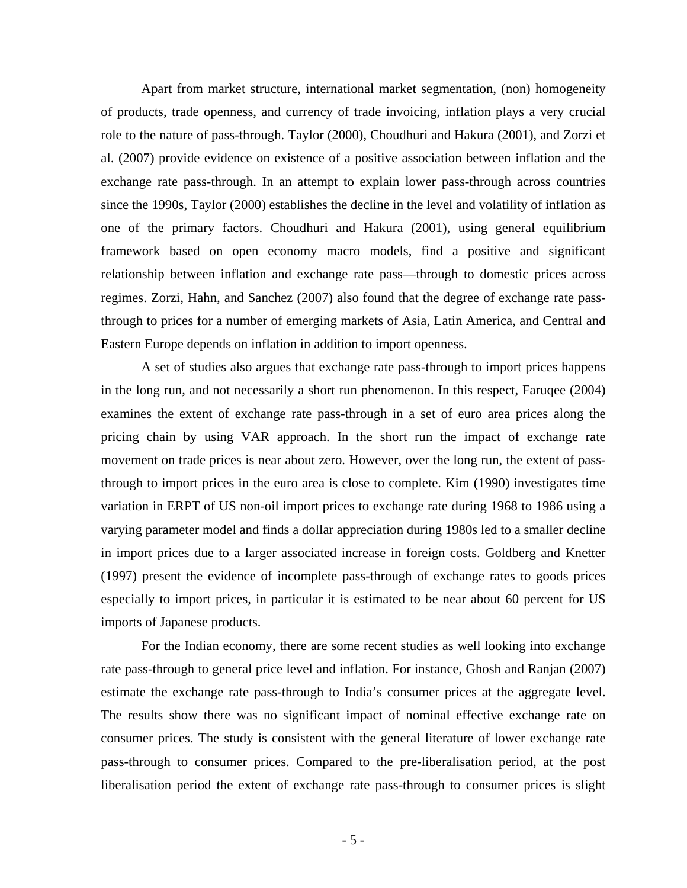Apart from market structure, international market segmentation, (non) homogeneity of products, trade openness, and currency of trade invoicing, inflation plays a very crucial role to the nature of pass-through. Taylor (2000), Choudhuri and Hakura (2001), and Zorzi et al. (2007) provide evidence on existence of a positive association between inflation and the exchange rate pass-through. In an attempt to explain lower pass-through across countries since the 1990s, Taylor (2000) establishes the decline in the level and volatility of inflation as one of the primary factors. Choudhuri and Hakura (2001), using general equilibrium framework based on open economy macro models, find a positive and significant relationship between inflation and exchange rate pass—through to domestic prices across regimes. Zorzi, Hahn, and Sanchez (2007) also found that the degree of exchange rate passthrough to prices for a number of emerging markets of Asia, Latin America, and Central and Eastern Europe depends on inflation in addition to import openness.

A set of studies also argues that exchange rate pass-through to import prices happens in the long run, and not necessarily a short run phenomenon. In this respect, Faruqee (2004) examines the extent of exchange rate pass-through in a set of euro area prices along the pricing chain by using VAR approach. In the short run the impact of exchange rate movement on trade prices is near about zero. However, over the long run, the extent of passthrough to import prices in the euro area is close to complete. Kim (1990) investigates time variation in ERPT of US non-oil import prices to exchange rate during 1968 to 1986 using a varying parameter model and finds a dollar appreciation during 1980s led to a smaller decline in import prices due to a larger associated increase in foreign costs. Goldberg and Knetter (1997) present the evidence of incomplete pass-through of exchange rates to goods prices especially to import prices, in particular it is estimated to be near about 60 percent for US imports of Japanese products.

For the Indian economy, there are some recent studies as well looking into exchange rate pass-through to general price level and inflation. For instance, Ghosh and Ranjan (2007) estimate the exchange rate pass-through to India's consumer prices at the aggregate level. The results show there was no significant impact of nominal effective exchange rate on consumer prices. The study is consistent with the general literature of lower exchange rate pass-through to consumer prices. Compared to the pre-liberalisation period, at the post liberalisation period the extent of exchange rate pass-through to consumer prices is slight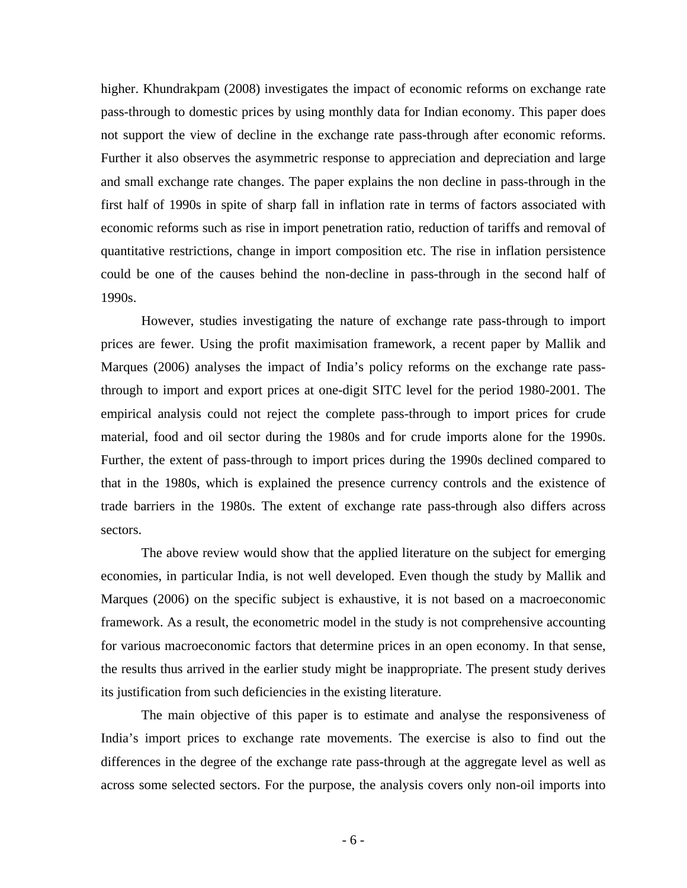higher. Khundrakpam (2008) investigates the impact of economic reforms on exchange rate pass-through to domestic prices by using monthly data for Indian economy. This paper does not support the view of decline in the exchange rate pass-through after economic reforms. Further it also observes the asymmetric response to appreciation and depreciation and large and small exchange rate changes. The paper explains the non decline in pass-through in the first half of 1990s in spite of sharp fall in inflation rate in terms of factors associated with economic reforms such as rise in import penetration ratio, reduction of tariffs and removal of quantitative restrictions, change in import composition etc. The rise in inflation persistence could be one of the causes behind the non-decline in pass-through in the second half of 1990s.

However, studies investigating the nature of exchange rate pass-through to import prices are fewer. Using the profit maximisation framework, a recent paper by Mallik and Marques (2006) analyses the impact of India's policy reforms on the exchange rate passthrough to import and export prices at one-digit SITC level for the period 1980-2001. The empirical analysis could not reject the complete pass-through to import prices for crude material, food and oil sector during the 1980s and for crude imports alone for the 1990s. Further, the extent of pass-through to import prices during the 1990s declined compared to that in the 1980s, which is explained the presence currency controls and the existence of trade barriers in the 1980s. The extent of exchange rate pass-through also differs across sectors.

The above review would show that the applied literature on the subject for emerging economies, in particular India, is not well developed. Even though the study by Mallik and Marques (2006) on the specific subject is exhaustive, it is not based on a macroeconomic framework. As a result, the econometric model in the study is not comprehensive accounting for various macroeconomic factors that determine prices in an open economy. In that sense, the results thus arrived in the earlier study might be inappropriate. The present study derives its justification from such deficiencies in the existing literature.

The main objective of this paper is to estimate and analyse the responsiveness of India's import prices to exchange rate movements. The exercise is also to find out the differences in the degree of the exchange rate pass-through at the aggregate level as well as across some selected sectors. For the purpose, the analysis covers only non-oil imports into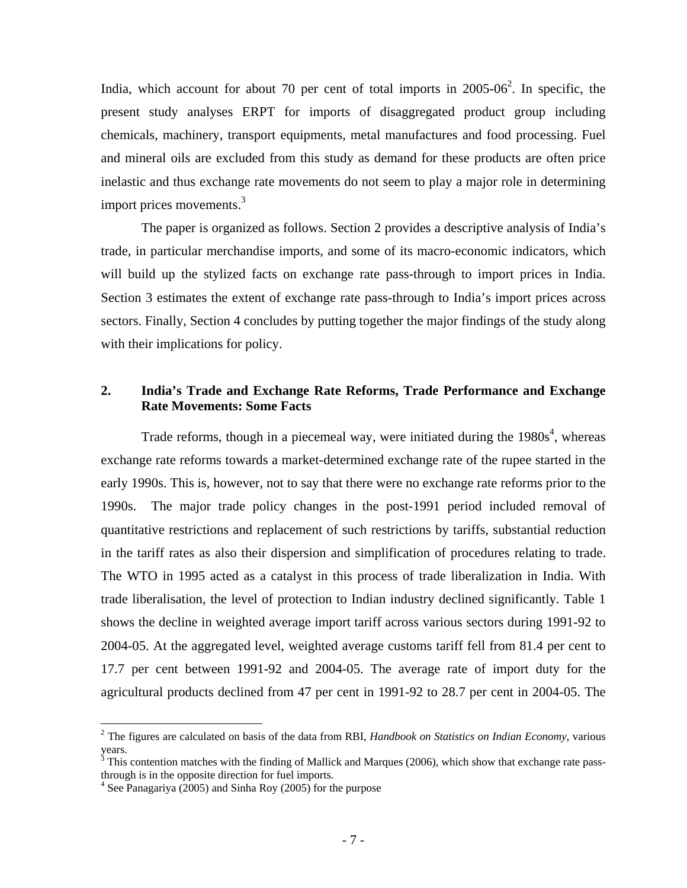India, which account for about 70 per cent of total imports in  $2005{\cdot}06^2$ . In specific, the present study analyses ERPT for imports of disaggregated product group including chemicals, machinery, transport equipments, metal manufactures and food processing. Fuel and mineral oils are excluded from this study as demand for these products are often price inelastic and thus exchange rate movements do not seem to play a major role in determining import prices movements.<sup>3</sup>

The paper is organized as follows. Section 2 provides a descriptive analysis of India's trade, in particular merchandise imports, and some of its macro-economic indicators, which will build up the stylized facts on exchange rate pass-through to import prices in India. Section 3 estimates the extent of exchange rate pass-through to India's import prices across sectors. Finally, Section 4 concludes by putting together the major findings of the study along with their implications for policy.

### **2. India's Trade and Exchange Rate Reforms, Trade Performance and Exchange Rate Movements: Some Facts**

Trade reforms, though in a piecemeal way, were initiated during the  $1980s<sup>4</sup>$ , whereas exchange rate reforms towards a market-determined exchange rate of the rupee started in the early 1990s. This is, however, not to say that there were no exchange rate reforms prior to the 1990s. The major trade policy changes in the post-1991 period included removal of quantitative restrictions and replacement of such restrictions by tariffs, substantial reduction in the tariff rates as also their dispersion and simplification of procedures relating to trade. The WTO in 1995 acted as a catalyst in this process of trade liberalization in India. With trade liberalisation, the level of protection to Indian industry declined significantly. Table 1 shows the decline in weighted average import tariff across various sectors during 1991-92 to 2004-05. At the aggregated level, weighted average customs tariff fell from 81.4 per cent to 17.7 per cent between 1991-92 and 2004-05. The average rate of import duty for the agricultural products declined from 47 per cent in 1991-92 to 28.7 per cent in 2004-05. The

1

<sup>2</sup> The figures are calculated on basis of the data from RBI, *Handbook on Statistics on Indian Economy*, various years.<br><sup>3</sup> This contention matches with the finding of Mallick and Marques (2006), which show that exchange rate pass-

through is in the opposite direction for fuel imports.

<sup>&</sup>lt;sup>4</sup> See Panagariya (2005) and Sinha Roy (2005) for the purpose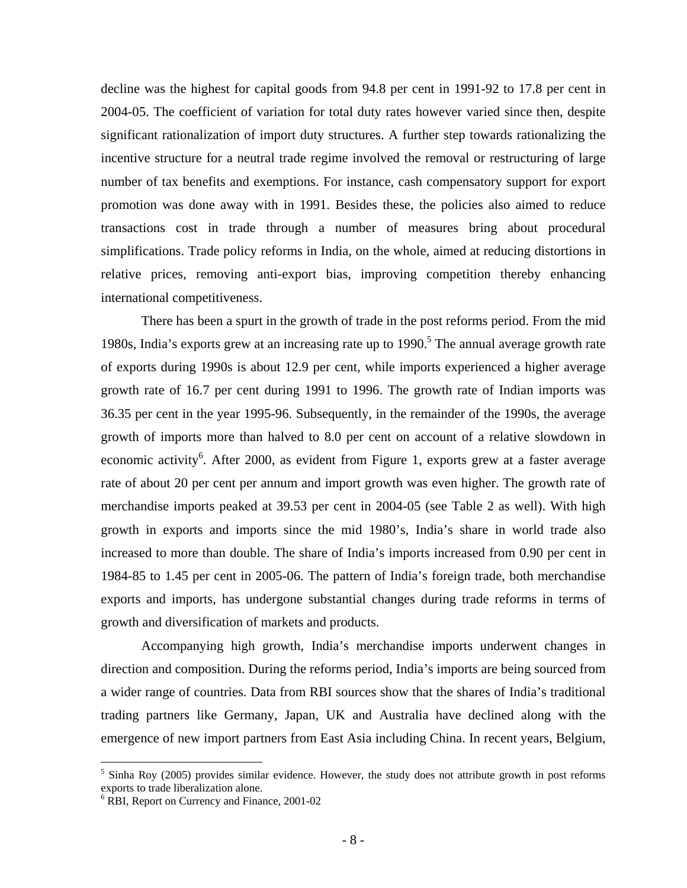decline was the highest for capital goods from 94.8 per cent in 1991-92 to 17.8 per cent in 2004-05. The coefficient of variation for total duty rates however varied since then, despite significant rationalization of import duty structures. A further step towards rationalizing the incentive structure for a neutral trade regime involved the removal or restructuring of large number of tax benefits and exemptions. For instance, cash compensatory support for export promotion was done away with in 1991. Besides these, the policies also aimed to reduce transactions cost in trade through a number of measures bring about procedural simplifications. Trade policy reforms in India, on the whole, aimed at reducing distortions in relative prices, removing anti-export bias, improving competition thereby enhancing international competitiveness.

There has been a spurt in the growth of trade in the post reforms period. From the mid 1980s, India's exports grew at an increasing rate up to  $1990$ .<sup>5</sup> The annual average growth rate of exports during 1990s is about 12.9 per cent, while imports experienced a higher average growth rate of 16.7 per cent during 1991 to 1996. The growth rate of Indian imports was 36.35 per cent in the year 1995-96. Subsequently, in the remainder of the 1990s, the average growth of imports more than halved to 8.0 per cent on account of a relative slowdown in economic activity<sup>6</sup>. After 2000, as evident from Figure 1, exports grew at a faster average rate of about 20 per cent per annum and import growth was even higher. The growth rate of merchandise imports peaked at 39.53 per cent in 2004-05 (see Table 2 as well). With high growth in exports and imports since the mid 1980's, India's share in world trade also increased to more than double. The share of India's imports increased from 0.90 per cent in 1984-85 to 1.45 per cent in 2005-06. The pattern of India's foreign trade, both merchandise exports and imports, has undergone substantial changes during trade reforms in terms of growth and diversification of markets and products.

Accompanying high growth, India's merchandise imports underwent changes in direction and composition. During the reforms period, India's imports are being sourced from a wider range of countries. Data from RBI sources show that the shares of India's traditional trading partners like Germany, Japan, UK and Australia have declined along with the emergence of new import partners from East Asia including China. In recent years, Belgium,

 $\overline{a}$ 

<sup>&</sup>lt;sup>5</sup> Sinha Roy (2005) provides similar evidence. However, the study does not attribute growth in post reforms exports to trade liberalization alone.

<sup>&</sup>lt;sup>6</sup> RBI, Report on Currency and Finance, 2001-02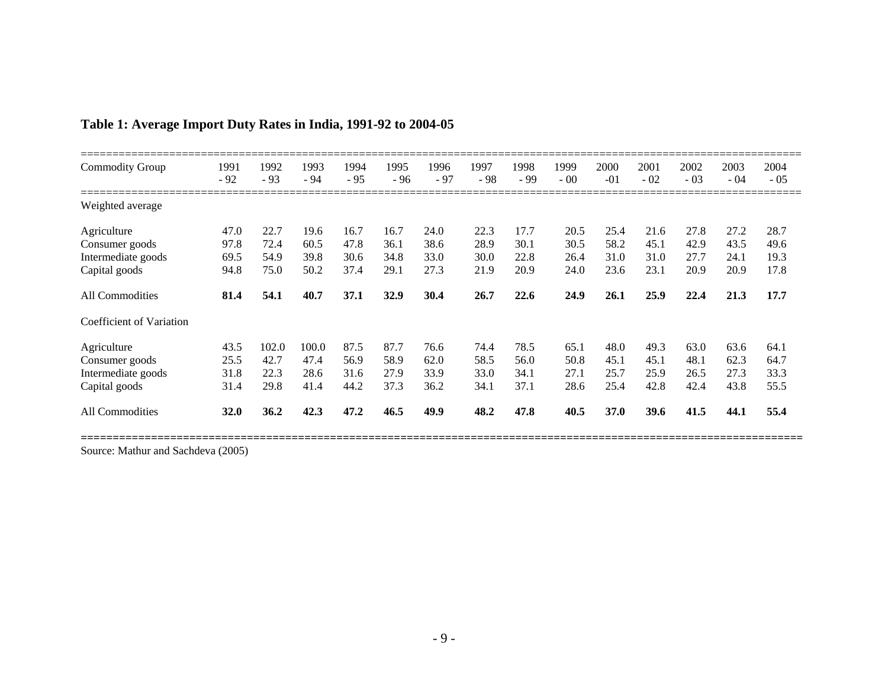| <b>Commodity Group</b>   | 1991<br>$-92$ | 1992<br>$-93$ | 1993<br>$-94$ | 1994<br>$-95$ | 1995<br>$-96$ | 1996<br>$-97$ | 1997<br>$-98$ | 1998<br>$-99$ | 1999<br>$-00$ | 2000<br>$-01$ | 2001<br>$-02$ | 2002<br>$-03$ | 2003<br>$-04$ | 2004<br>$-05$ |
|--------------------------|---------------|---------------|---------------|---------------|---------------|---------------|---------------|---------------|---------------|---------------|---------------|---------------|---------------|---------------|
| Weighted average         |               |               |               |               |               |               |               |               |               |               |               |               |               |               |
| Agriculture              | 47.0          | 22.7          | 19.6          | 16.7          | 16.7          | 24.0          | 22.3          | 17.7          | 20.5          | 25.4          | 21.6          | 27.8          | 27.2          | 28.7          |
| Consumer goods           | 97.8          | 72.4          | 60.5          | 47.8          | 36.1          | 38.6          | 28.9          | 30.1          | 30.5          | 58.2          | 45.1          | 42.9          | 43.5          | 49.6          |
| Intermediate goods       | 69.5          | 54.9          | 39.8          | 30.6          | 34.8          | 33.0          | 30.0          | 22.8          | 26.4          | 31.0          | 31.0          | 27.7          | 24.1          | 19.3          |
| Capital goods            | 94.8          | 75.0          | 50.2          | 37.4          | 29.1          | 27.3          | 21.9          | 20.9          | 24.0          | 23.6          | 23.1          | 20.9          | 20.9          | 17.8          |
| All Commodities          | 81.4          | 54.1          | 40.7          | 37.1          | 32.9          | 30.4          | 26.7          | 22.6          | 24.9          | 26.1          | 25.9          | 22.4          | 21.3          | 17.7          |
| Coefficient of Variation |               |               |               |               |               |               |               |               |               |               |               |               |               |               |
| Agriculture              | 43.5          | 102.0         | 100.0         | 87.5          | 87.7          | 76.6          | 74.4          | 78.5          | 65.1          | 48.0          | 49.3          | 63.0          | 63.6          | 64.1          |
| Consumer goods           | 25.5          | 42.7          | 47.4          | 56.9          | 58.9          | 62.0          | 58.5          | 56.0          | 50.8          | 45.1          | 45.1          | 48.1          | 62.3          | 64.7          |
| Intermediate goods       | 31.8          | 22.3          | 28.6          | 31.6          | 27.9          | 33.9          | 33.0          | 34.1          | 27.1          | 25.7          | 25.9          | 26.5          | 27.3          | 33.3          |
| Capital goods            | 31.4          | 29.8          | 41.4          | 44.2          | 37.3          | 36.2          | 34.1          | 37.1          | 28.6          | 25.4          | 42.8          | 42.4          | 43.8          | 55.5          |
| All Commodities          | <b>32.0</b>   | 36.2          | 42.3          | 47.2          | 46.5          | 49.9          | 48.2          | 47.8          | 40.5          | <b>37.0</b>   | <b>39.6</b>   | 41.5          | 44.1          | 55.4          |

# **Table 1: Average Import Duty Rates in India, 1991-92 to 2004-05**

Source: Mathur and Sachdeva (2005)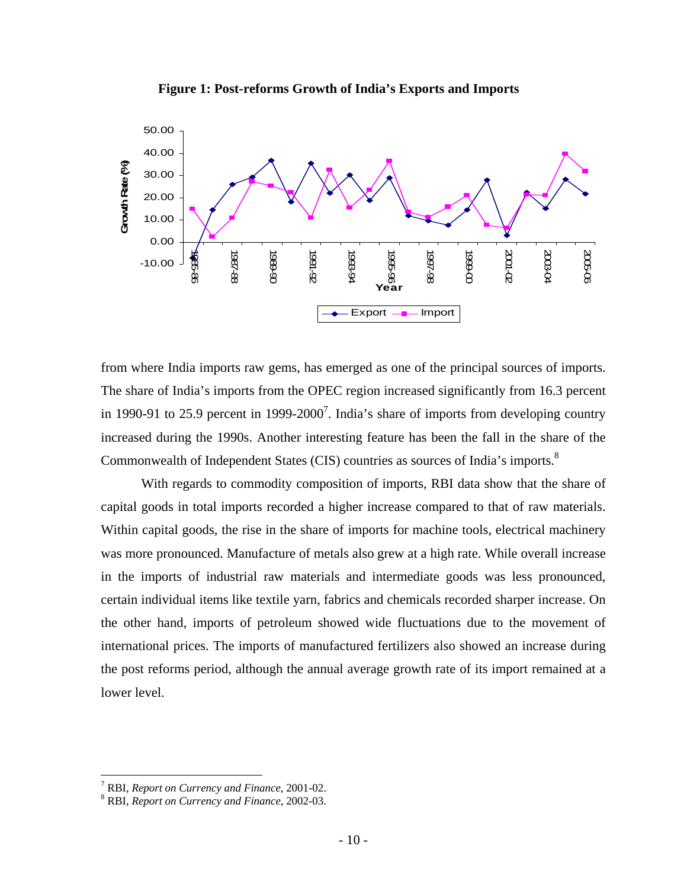



from where India imports raw gems, has emerged as one of the principal sources of imports. The share of India's imports from the OPEC region increased significantly from 16.3 percent in 1990-91 to 25.9 percent in 1999-2000<sup>7</sup>. India's share of imports from developing country increased during the 1990s. Another interesting feature has been the fall in the share of the Commonwealth of Independent States (CIS) countries as sources of India's imports.<sup>8</sup>

 With regards to commodity composition of imports, RBI data show that the share of capital goods in total imports recorded a higher increase compared to that of raw materials. Within capital goods, the rise in the share of imports for machine tools, electrical machinery was more pronounced. Manufacture of metals also grew at a high rate. While overall increase in the imports of industrial raw materials and intermediate goods was less pronounced, certain individual items like textile yarn, fabrics and chemicals recorded sharper increase. On the other hand, imports of petroleum showed wide fluctuations due to the movement of international prices. The imports of manufactured fertilizers also showed an increase during the post reforms period, although the annual average growth rate of its import remained at a lower level.

1

<sup>&</sup>lt;sup>7</sup> RBI, *Report on Currency and Finance*, 2001-02.<br><sup>8</sup> RBI, *Report on Currency and Finance*, 2002.03.

RBI, *Report on Currency and Finance*, 2002-03.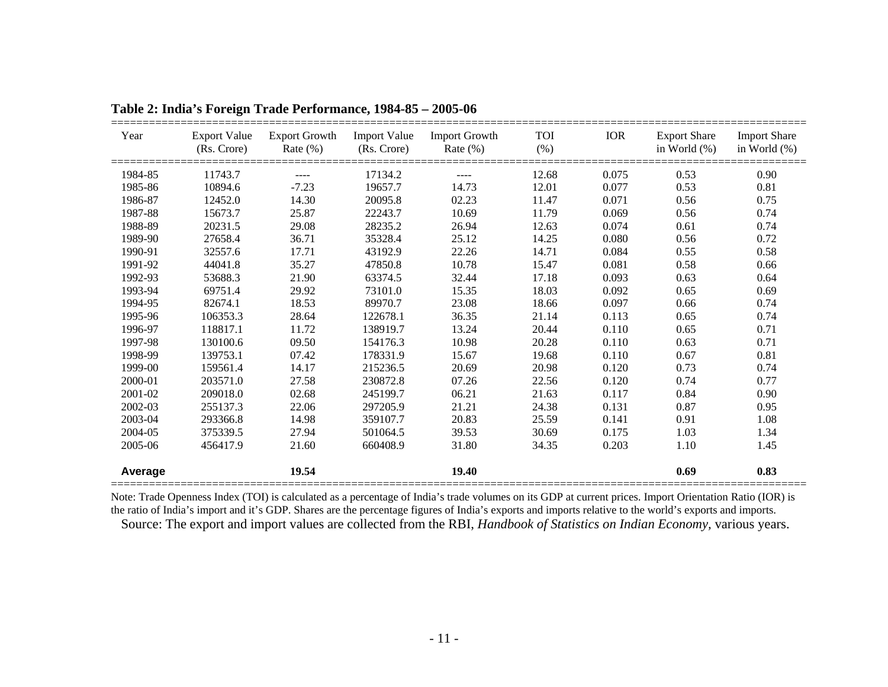| Year    |          | (Rs. Crore) Rate (%) (Rs. Crore) Rate (%) |          | Export Value Export Growth Import Value Import Growth TOI | (%)   | IOR   | Export Share Import Share | in World $(\%)$ in World $(\%)$ |
|---------|----------|-------------------------------------------|----------|-----------------------------------------------------------|-------|-------|---------------------------|---------------------------------|
| 1984-85 | 11743.7  | $\sim$ $\sim$ $\sim$                      | 17134.2  | $\sim$ $\sim$ $\sim$                                      | 12.68 | 0.075 | 0.53                      | 0.90                            |
| 1985-86 | 10894.6  | $-7.23$                                   | 19657.7  | 14.73                                                     | 12.01 | 0.077 | 0.53                      | 0.81                            |
| 1986-87 | 12452.0  | 14.30                                     | 20095.8  | 02.23                                                     | 11.47 | 0.071 | 0.56                      | 0.75                            |
| 1987-88 | 15673.7  | 25.87                                     | 22243.7  | 10.69                                                     | 11.79 | 0.069 | 0.56                      | 0.74                            |
| 1988-89 | 20231.5  | 29.08                                     | 28235.2  | 26.94                                                     | 12.63 | 0.074 | 0.61                      | 0.74                            |
| 1989-90 | 27658.4  | 36.71                                     | 35328.4  | 25.12                                                     | 14.25 | 0.080 | 0.56                      | 0.72                            |
| 1990-91 | 32557.6  | 17.71                                     | 43192.9  | 22.26                                                     | 14.71 | 0.084 | 0.55                      | 0.58                            |
| 1991-92 | 44041.8  | 35.27                                     | 47850.8  | 10.78                                                     | 15.47 | 0.081 | 0.58                      | 0.66                            |
| 1992-93 | 53688.3  | 21.90                                     | 63374.5  | 32.44                                                     | 17.18 | 0.093 | 0.63                      | 0.64                            |
| 1993-94 | 69751.4  | 29.92                                     | 73101.0  | 15.35                                                     | 18.03 | 0.092 | 0.65                      | 0.69                            |
| 1994-95 | 82674.1  | 18.53                                     | 89970.7  | 23.08                                                     | 18.66 | 0.097 | 0.66                      | 0.74                            |
| 1995-96 | 106353.3 | 28.64                                     | 122678.1 | 36.35                                                     | 21.14 | 0.113 | 0.65                      | 0.74                            |
| 1996-97 | 118817.1 | 11.72                                     | 138919.7 | 13.24                                                     | 20.44 | 0.110 | 0.65                      | 0.71                            |
| 1997-98 | 130100.6 | 09.50                                     | 154176.3 | 10.98                                                     | 20.28 | 0.110 | 0.63                      | 0.71                            |
| 1998-99 | 139753.1 | 07.42                                     | 178331.9 | 15.67                                                     | 19.68 | 0.110 | 0.67                      | 0.81                            |
| 1999-00 | 159561.4 | 14.17                                     | 215236.5 | 20.69                                                     | 20.98 | 0.120 | 0.73                      | 0.74                            |
| 2000-01 | 203571.0 | 27.58                                     | 230872.8 | 07.26                                                     | 22.56 | 0.120 | 0.74                      | 0.77                            |
| 2001-02 | 209018.0 | 02.68                                     | 245199.7 | 06.21                                                     | 21.63 | 0.117 | 0.84                      | 0.90                            |
| 2002-03 | 255137.3 | 22.06                                     | 297205.9 | 21.21                                                     | 24.38 | 0.131 | 0.87                      | 0.95                            |
| 2003-04 | 293366.8 | 14.98                                     | 359107.7 | 20.83                                                     | 25.59 | 0.141 | 0.91                      | 1.08                            |
| 2004-05 | 375339.5 | 27.94                                     | 501064.5 | 39.53                                                     | 30.69 | 0.175 | 1.03                      | 1.34                            |
| 2005-06 | 456417.9 | 21.60                                     | 660408.9 | 31.80                                                     | 34.35 | 0.203 | 1.10                      | 1.45                            |
| Average |          | 19.54                                     |          | 19.40                                                     |       |       | 0.69                      | 0.83                            |

**Table 2: India's Foreign Trade Performance, 1984-85 – 2005-06** 

Note: Trade Openness Index (TOI) is calculated as a percentage of India's trade volumes on its GDP at current prices. Import Orientation Ratio (IOR) is the ratio of India's import and it's GDP. Shares are the percentage figures of India's exports and imports relative to the world's exports and imports. Source: The export and import values are collected from the RBI, *Handbook of Statistics on Indian Economy,* various years.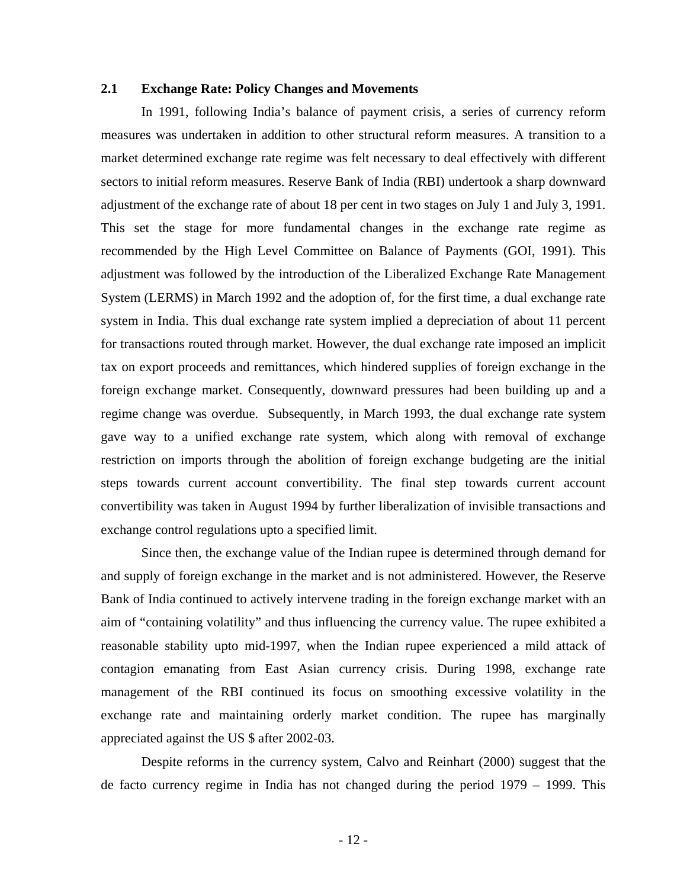### **2.1 Exchange Rate: Policy Changes and Movements**

In 1991, following India's balance of payment crisis, a series of currency reform measures was undertaken in addition to other structural reform measures. A transition to a market determined exchange rate regime was felt necessary to deal effectively with different sectors to initial reform measures. Reserve Bank of India (RBI) undertook a sharp downward adjustment of the exchange rate of about 18 per cent in two stages on July 1 and July 3, 1991. This set the stage for more fundamental changes in the exchange rate regime as recommended by the High Level Committee on Balance of Payments (GOI, 1991). This adjustment was followed by the introduction of the Liberalized Exchange Rate Management System (LERMS) in March 1992 and the adoption of, for the first time, a dual exchange rate system in India. This dual exchange rate system implied a depreciation of about 11 percent for transactions routed through market. However, the dual exchange rate imposed an implicit tax on export proceeds and remittances, which hindered supplies of foreign exchange in the foreign exchange market. Consequently, downward pressures had been building up and a regime change was overdue. Subsequently, in March 1993, the dual exchange rate system gave way to a unified exchange rate system, which along with removal of exchange restriction on imports through the abolition of foreign exchange budgeting are the initial steps towards current account convertibility. The final step towards current account convertibility was taken in August 1994 by further liberalization of invisible transactions and exchange control regulations upto a specified limit.

Since then, the exchange value of the Indian rupee is determined through demand for and supply of foreign exchange in the market and is not administered. However, the Reserve Bank of India continued to actively intervene trading in the foreign exchange market with an aim of "containing volatility" and thus influencing the currency value. The rupee exhibited a reasonable stability upto mid-1997, when the Indian rupee experienced a mild attack of contagion emanating from East Asian currency crisis. During 1998, exchange rate management of the RBI continued its focus on smoothing excessive volatility in the exchange rate and maintaining orderly market condition. The rupee has marginally appreciated against the US \$ after 2002-03.

Despite reforms in the currency system, Calvo and Reinhart (2000) suggest that the de facto currency regime in India has not changed during the period 1979 – 1999. This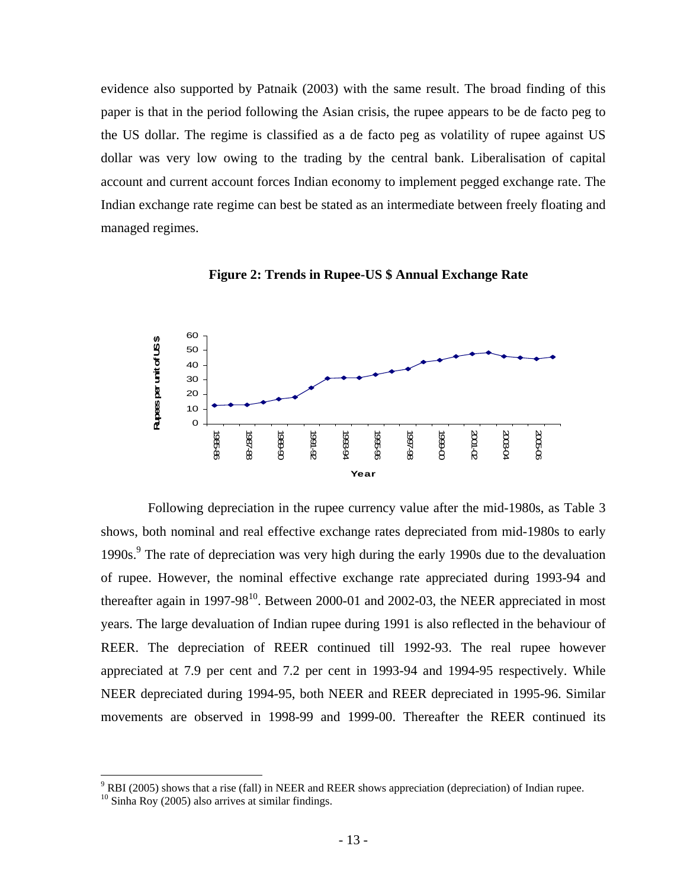evidence also supported by Patnaik (2003) with the same result. The broad finding of this paper is that in the period following the Asian crisis, the rupee appears to be de facto peg to the US dollar. The regime is classified as a de facto peg as volatility of rupee against US dollar was very low owing to the trading by the central bank. Liberalisation of capital account and current account forces Indian economy to implement pegged exchange rate. The Indian exchange rate regime can best be stated as an intermediate between freely floating and managed regimes.



**Figure 2: Trends in Rupee-US \$ Annual Exchange Rate** 

 Following depreciation in the rupee currency value after the mid-1980s, as Table 3 shows, both nominal and real effective exchange rates depreciated from mid-1980s to early 1990s.<sup>9</sup> The rate of depreciation was very high during the early 1990s due to the devaluation of rupee. However, the nominal effective exchange rate appreciated during 1993-94 and thereafter again in 1997-98 $^{10}$ . Between 2000-01 and 2002-03, the NEER appreciated in most years. The large devaluation of Indian rupee during 1991 is also reflected in the behaviour of REER. The depreciation of REER continued till 1992-93. The real rupee however appreciated at 7.9 per cent and 7.2 per cent in 1993-94 and 1994-95 respectively. While NEER depreciated during 1994-95, both NEER and REER depreciated in 1995-96. Similar movements are observed in 1998-99 and 1999-00. Thereafter the REER continued its

<sup>&</sup>lt;sup>9</sup> RBI (2005) shows that a rise (fall) in NEER and REER shows appreciation (depreciation) of Indian rupee.

 $10$  Sinha Roy (2005) also arrives at similar findings.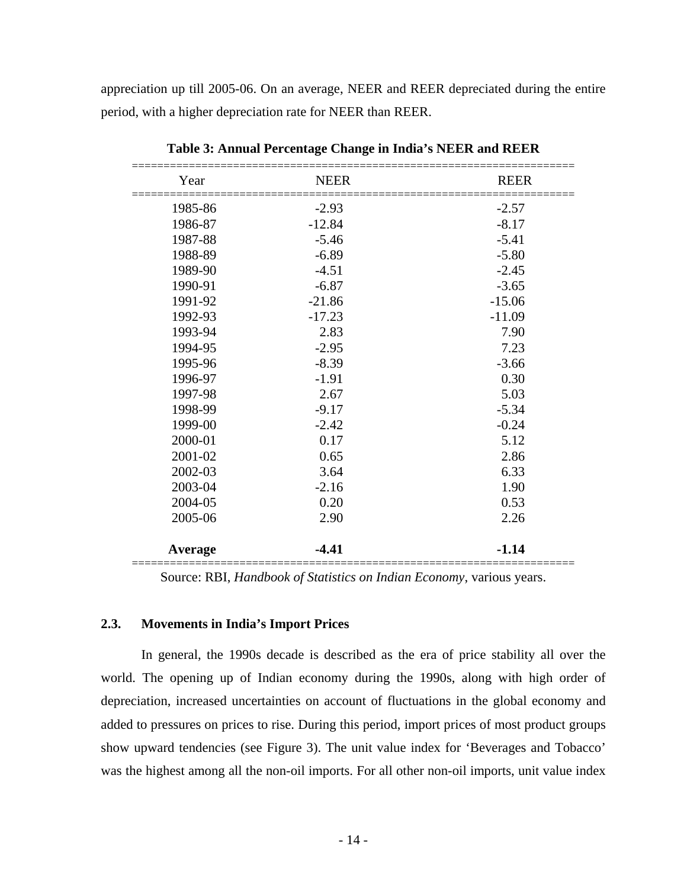appreciation up till 2005-06. On an average, NEER and REER depreciated during the entire period, with a higher depreciation rate for NEER than REER.

| Year    | <b>NEER</b> | <b>REER</b> |
|---------|-------------|-------------|
| 1985-86 | $-2.93$     | $-2.57$     |
| 1986-87 | $-12.84$    | $-8.17$     |
| 1987-88 | $-5.46$     | $-5.41$     |
| 1988-89 | $-6.89$     | $-5.80$     |
| 1989-90 | $-4.51$     | $-2.45$     |
| 1990-91 | $-6.87$     | $-3.65$     |
| 1991-92 | $-21.86$    | $-15.06$    |
| 1992-93 | $-17.23$    | $-11.09$    |
| 1993-94 | 2.83        | 7.90        |
| 1994-95 | $-2.95$     | 7.23        |
| 1995-96 | $-8.39$     | $-3.66$     |
| 1996-97 | $-1.91$     | 0.30        |
| 1997-98 | 2.67        | 5.03        |
| 1998-99 | $-9.17$     | $-5.34$     |
| 1999-00 | $-2.42$     | $-0.24$     |
| 2000-01 | 0.17        | 5.12        |
| 2001-02 | 0.65        | 2.86        |
| 2002-03 | 3.64        | 6.33        |
| 2003-04 | $-2.16$     | 1.90        |
| 2004-05 | 0.20        | 0.53        |
| 2005-06 | 2.90        | 2.26        |
| Average | $-4.41$     | $-1.14$     |

**Table 3: Annual Percentage Change in India's NEER and REER** 

Source: RBI, *Handbook of Statistics on Indian Economy*, various years.

### **2.3. Movements in India's Import Prices**

In general, the 1990s decade is described as the era of price stability all over the world. The opening up of Indian economy during the 1990s, along with high order of depreciation, increased uncertainties on account of fluctuations in the global economy and added to pressures on prices to rise. During this period, import prices of most product groups show upward tendencies (see Figure 3). The unit value index for 'Beverages and Tobacco' was the highest among all the non-oil imports. For all other non-oil imports, unit value index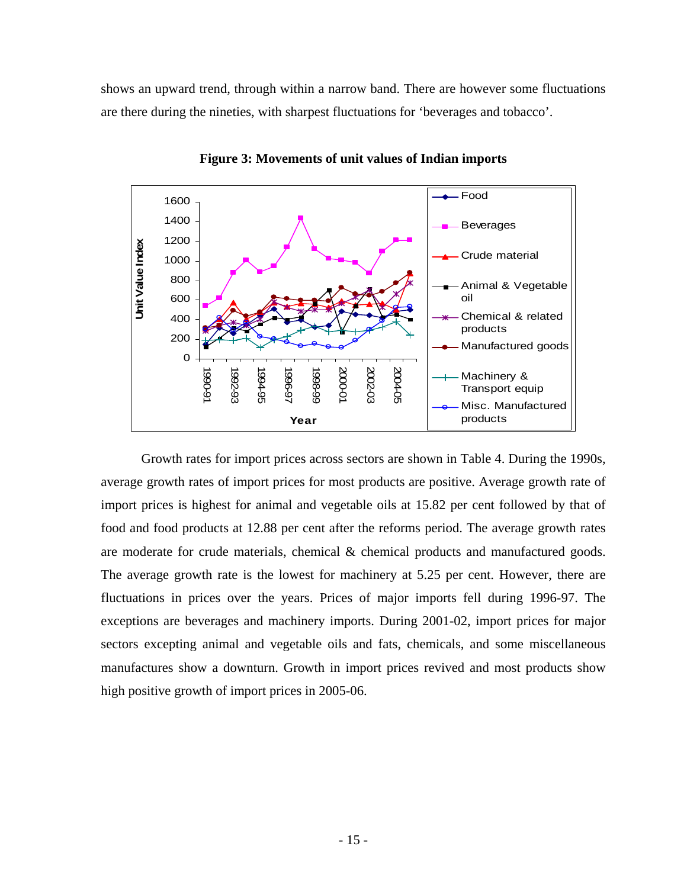shows an upward trend, through within a narrow band. There are however some fluctuations are there during the nineties, with sharpest fluctuations for 'beverages and tobacco'.



**Figure 3: Movements of unit values of Indian imports** 

Growth rates for import prices across sectors are shown in Table 4. During the 1990s, average growth rates of import prices for most products are positive. Average growth rate of import prices is highest for animal and vegetable oils at 15.82 per cent followed by that of food and food products at 12.88 per cent after the reforms period. The average growth rates are moderate for crude materials, chemical & chemical products and manufactured goods. The average growth rate is the lowest for machinery at 5.25 per cent. However, there are fluctuations in prices over the years. Prices of major imports fell during 1996-97. The exceptions are beverages and machinery imports. During 2001-02, import prices for major sectors excepting animal and vegetable oils and fats, chemicals, and some miscellaneous manufactures show a downturn. Growth in import prices revived and most products show high positive growth of import prices in 2005-06.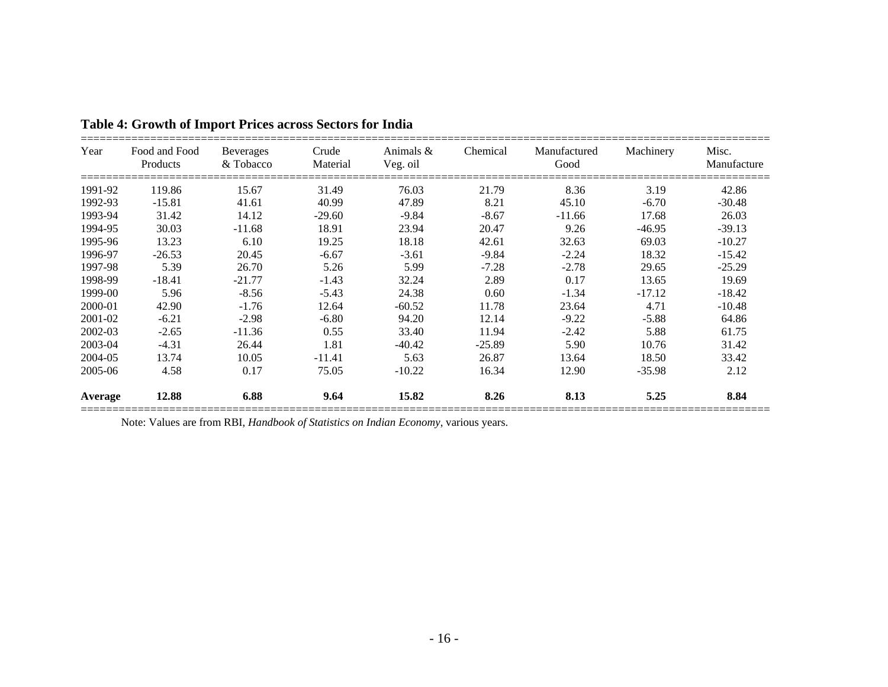| Year    | Food and Food<br>Products | <b>Beverages</b><br>& Tobacco | Crude<br>Material | Animals $\&$<br>Veg. oil | Chemical | Manufactured<br>Good | Machinery | Misc.<br>Manufacture |
|---------|---------------------------|-------------------------------|-------------------|--------------------------|----------|----------------------|-----------|----------------------|
| 1991-92 | 119.86                    | 15.67                         | 31.49             | 76.03                    | 21.79    | 8.36                 | 3.19      | 42.86                |
| 1992-93 | $-15.81$                  | 41.61                         | 40.99             | 47.89                    | 8.21     | 45.10                | $-6.70$   | $-30.48$             |
| 1993-94 | 31.42                     | 14.12                         | $-29.60$          | $-9.84$                  | $-8.67$  | $-11.66$             | 17.68     | 26.03                |
| 1994-95 | 30.03                     | $-11.68$                      | 18.91             | 23.94                    | 20.47    | 9.26                 | -46.95    | $-39.13$             |
| 1995-96 | 13.23                     | 6.10                          | 19.25             | 18.18                    | 42.61    | 32.63                | 69.03     | $-10.27$             |
| 1996-97 | $-26.53$                  | 20.45                         | $-6.67$           | $-3.61$                  | $-9.84$  | $-2.24$              | 18.32     | $-15.42$             |
| 1997-98 | 5.39                      | 26.70                         | 5.26              | 5.99                     | $-7.28$  | $-2.78$              | 29.65     | $-25.29$             |
| 1998-99 | $-18.41$                  | $-21.77$                      | $-1.43$           | 32.24                    | 2.89     | 0.17                 | 13.65     | 19.69                |
| 1999-00 | 5.96                      | $-8.56$                       | $-5.43$           | 24.38                    | 0.60     | $-1.34$              | $-17.12$  | $-18.42$             |
| 2000-01 | 42.90                     | $-1.76$                       | 12.64             | $-60.52$                 | 11.78    | 23.64                | 4.71      | $-10.48$             |
| 2001-02 | $-6.21$                   | $-2.98$                       | $-6.80$           | 94.20                    | 12.14    | $-9.22$              | $-5.88$   | 64.86                |
| 2002-03 | $-2.65$                   | $-11.36$                      | 0.55              | 33.40                    | 11.94    | $-2.42$              | 5.88      | 61.75                |
| 2003-04 | $-4.31$                   | 26.44                         | 1.81              | $-40.42$                 | $-25.89$ | 5.90                 | 10.76     | 31.42                |
| 2004-05 | 13.74                     | 10.05                         | $-11.41$          | 5.63                     | 26.87    | 13.64                | 18.50     | 33.42                |
| 2005-06 | 4.58                      | 0.17                          | 75.05             | $-10.22$                 | 16.34    | 12.90                | $-35.98$  | 2.12                 |
| Average | 12.88                     | 6.88                          | 9.64              | 15.82                    | 8.26     | 8.13                 | 5.25      | 8.84                 |

## **Table 4: Growth of Import Prices across Sectors for India**

Note: Values are from RBI, *Handbook of Statistics on Indian Economy*, various years.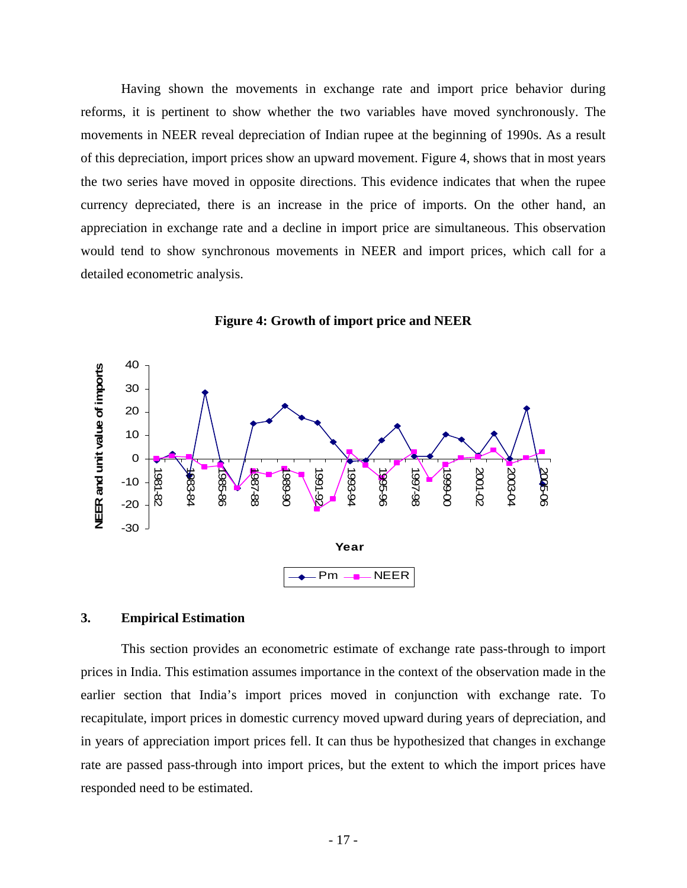Having shown the movements in exchange rate and import price behavior during reforms, it is pertinent to show whether the two variables have moved synchronously. The movements in NEER reveal depreciation of Indian rupee at the beginning of 1990s. As a result of this depreciation, import prices show an upward movement. Figure 4, shows that in most years the two series have moved in opposite directions. This evidence indicates that when the rupee currency depreciated, there is an increase in the price of imports. On the other hand, an appreciation in exchange rate and a decline in import price are simultaneous. This observation would tend to show synchronous movements in NEER and import prices, which call for a detailed econometric analysis.



**Figure 4: Growth of import price and NEER** 

### **3. Empirical Estimation**

This section provides an econometric estimate of exchange rate pass-through to import prices in India. This estimation assumes importance in the context of the observation made in the earlier section that India's import prices moved in conjunction with exchange rate. To recapitulate, import prices in domestic currency moved upward during years of depreciation, and in years of appreciation import prices fell. It can thus be hypothesized that changes in exchange rate are passed pass-through into import prices, but the extent to which the import prices have responded need to be estimated.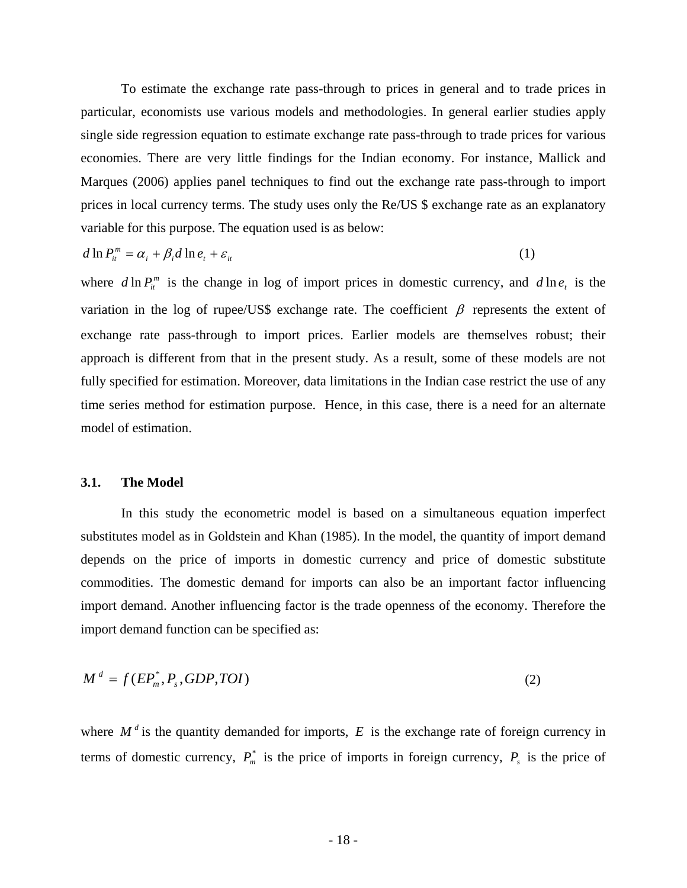To estimate the exchange rate pass-through to prices in general and to trade prices in particular, economists use various models and methodologies. In general earlier studies apply single side regression equation to estimate exchange rate pass-through to trade prices for various economies. There are very little findings for the Indian economy. For instance, Mallick and Marques (2006) applies panel techniques to find out the exchange rate pass-through to import prices in local currency terms. The study uses only the Re/US \$ exchange rate as an explanatory variable for this purpose. The equation used is as below:

$$
d \ln P_{it}^m = \alpha_i + \beta_i d \ln e_t + \varepsilon_{it}
$$
 (1)

where  $d \ln P_i^m$  is the change in log of import prices in domestic currency, and  $d \ln e_i$  is the variation in the log of rupee/US\$ exchange rate. The coefficient  $\beta$  represents the extent of exchange rate pass-through to import prices. Earlier models are themselves robust; their approach is different from that in the present study. As a result, some of these models are not fully specified for estimation. Moreover, data limitations in the Indian case restrict the use of any time series method for estimation purpose. Hence, in this case, there is a need for an alternate model of estimation.

### **3.1. The Model**

In this study the econometric model is based on a simultaneous equation imperfect substitutes model as in Goldstein and Khan (1985). In the model, the quantity of import demand depends on the price of imports in domestic currency and price of domestic substitute commodities. The domestic demand for imports can also be an important factor influencing import demand. Another influencing factor is the trade openness of the economy. Therefore the import demand function can be specified as:

$$
M^d = f(EP_m^*, P_s, GDP, TOI)
$$
 (2)

where  $M^d$  is the quantity demanded for imports,  $E$  is the exchange rate of foreign currency in terms of domestic currency,  $P_m^*$  is the price of imports in foreign currency,  $P_s$  is the price of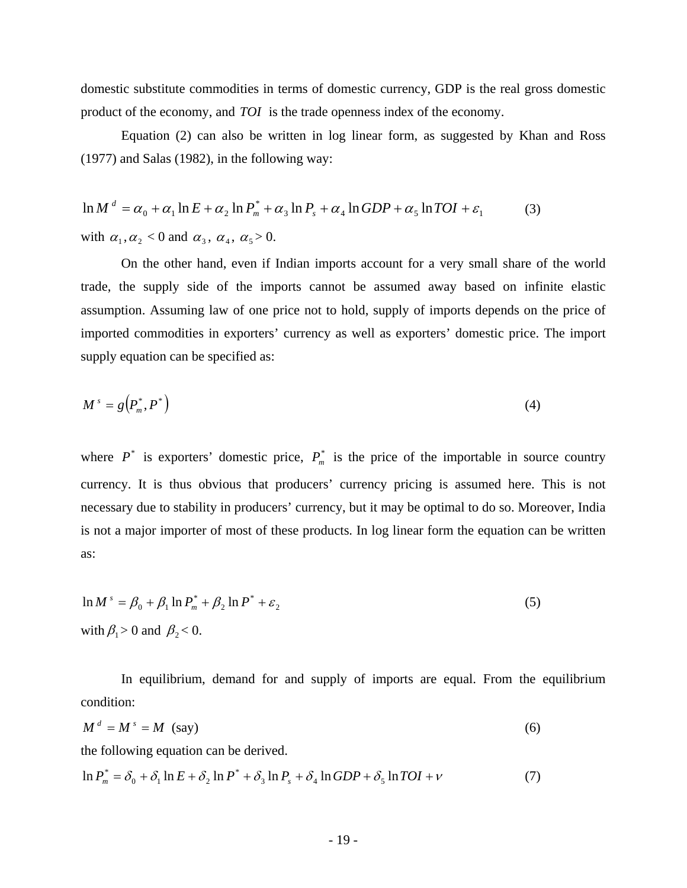domestic substitute commodities in terms of domestic currency, GDP is the real gross domestic product of the economy, and *TOI* is the trade openness index of the economy.

Equation (2) can also be written in log linear form, as suggested by Khan and Ross (1977) and Salas (1982), in the following way:

$$
\ln M^d = \alpha_0 + \alpha_1 \ln E + \alpha_2 \ln P_m^* + \alpha_3 \ln P_s + \alpha_4 \ln GDP + \alpha_5 \ln TOI + \varepsilon_1
$$
 (3)  
with  $\alpha_1, \alpha_2 < 0$  and  $\alpha_3, \alpha_4, \alpha_5 > 0$ .

On the other hand, even if Indian imports account for a very small share of the world trade, the supply side of the imports cannot be assumed away based on infinite elastic assumption. Assuming law of one price not to hold, supply of imports depends on the price of imported commodities in exporters' currency as well as exporters' domestic price. The import supply equation can be specified as:

$$
M^s = g\left(P_m^*, P^*\right) \tag{4}
$$

where  $P^*$  is exporters' domestic price,  $P_m^*$  is the price of the importable in source country currency. It is thus obvious that producers' currency pricing is assumed here. This is not necessary due to stability in producers' currency, but it may be optimal to do so. Moreover, India is not a major importer of most of these products. In log linear form the equation can be written as:

$$
\ln M^s = \beta_0 + \beta_1 \ln P_m^* + \beta_2 \ln P^* + \varepsilon_2
$$
  
with  $\beta_1 > 0$  and  $\beta_2 < 0$ . (5)

In equilibrium, demand for and supply of imports are equal. From the equilibrium condition:

$$
M^d = M^s = M \text{ (say)}
$$
 (6)

the following equation can be derived.

$$
\ln P_m^* = \delta_0 + \delta_1 \ln E + \delta_2 \ln P^* + \delta_3 \ln P_s + \delta_4 \ln GDP + \delta_5 \ln TOI + \nu \tag{7}
$$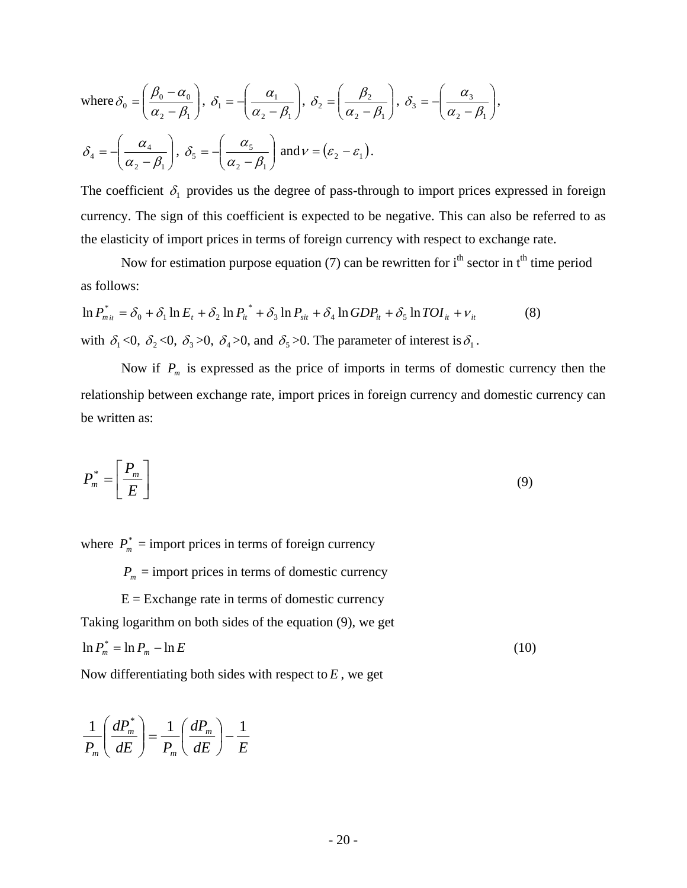where 
$$
\delta_0 = \left(\frac{\beta_0 - \alpha_0}{\alpha_2 - \beta_1}\right)
$$
,  $\delta_1 = -\left(\frac{\alpha_1}{\alpha_2 - \beta_1}\right)$ ,  $\delta_2 = \left(\frac{\beta_2}{\alpha_2 - \beta_1}\right)$ ,  $\delta_3 = -\left(\frac{\alpha_3}{\alpha_2 - \beta_1}\right)$ ,  
 $\delta_4 = -\left(\frac{\alpha_4}{\alpha_2 - \beta_1}\right)$ ,  $\delta_5 = -\left(\frac{\alpha_5}{\alpha_2 - \beta_1}\right)$  and  $\nu = (\varepsilon_2 - \varepsilon_1)$ .

The coefficient  $\delta_1$  provides us the degree of pass-through to import prices expressed in foreign currency. The sign of this coefficient is expected to be negative. This can also be referred to as the elasticity of import prices in terms of foreign currency with respect to exchange rate.

Now for estimation purpose equation (7) can be rewritten for  $i<sup>th</sup>$  sector in  $t<sup>th</sup>$  time period as follows:

$$
\ln P_{m_{it}}^* = \delta_0 + \delta_1 \ln E_t + \delta_2 \ln P_{it}^* + \delta_3 \ln P_{sit} + \delta_4 \ln GDP_{it} + \delta_5 \ln TOI_{it} + v_{it}
$$
\n(8)  
\nwith  $\delta_1 < 0$ ,  $\delta_2 < 0$ ,  $\delta_3 > 0$ ,  $\delta_4 > 0$ , and  $\delta_5 > 0$ . The parameter of interest is  $\delta_1$ .

Now if  $P_m$  is expressed as the price of imports in terms of domestic currency then the relationship between exchange rate, import prices in foreign currency and domestic currency can be written as:

$$
P_m^* = \left[\frac{P_m}{E}\right] \tag{9}
$$

where  $P_m^*$  = import prices in terms of foreign currency

 $P_m$  = import prices in terms of domestic currency

 $E =$  Exchange rate in terms of domestic currency Taking logarithm on both sides of the equation (9), we get  $\ln P_m^* = \ln P_m - \ln E$  (10)

Now differentiating both sides with respect to *E* , we get

$$
\frac{1}{P_m} \left( \frac{dP_m^*}{dE} \right) = \frac{1}{P_m} \left( \frac{dP_m}{dE} \right) - \frac{1}{E}
$$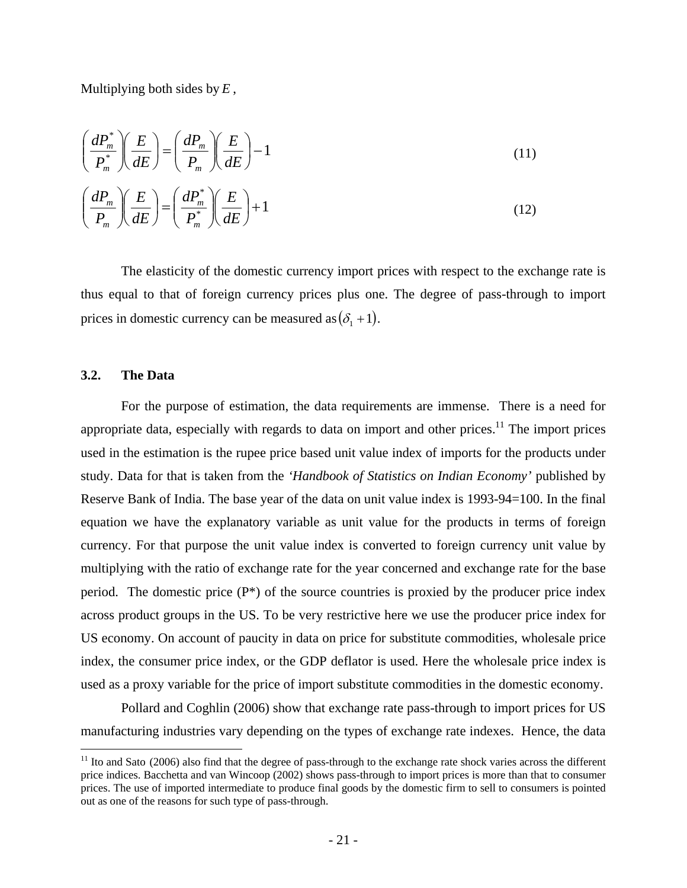Multiplying both sides by *E* ,

$$
\left(\frac{dP_m^*}{P_m^*}\right)\left(\frac{E}{dE}\right) = \left(\frac{dP_m}{P_m}\right)\left(\frac{E}{dE}\right) - 1
$$
\n
$$
\left(\frac{dP_m}{P_m}\right)\left(\frac{E}{dE}\right) = \left(\frac{dP_m^*}{P_m^*}\right)\left(\frac{E}{dE}\right) + 1
$$
\n(12)

The elasticity of the domestic currency import prices with respect to the exchange rate is thus equal to that of foreign currency prices plus one. The degree of pass-through to import prices in domestic currency can be measured as  $(\delta_1 + 1)$ .

### **3.2. The Data**

<u>.</u>

For the purpose of estimation, the data requirements are immense. There is a need for appropriate data, especially with regards to data on import and other prices.<sup>11</sup> The import prices used in the estimation is the rupee price based unit value index of imports for the products under study. Data for that is taken from the *'Handbook of Statistics on Indian Economy'* published by Reserve Bank of India. The base year of the data on unit value index is 1993-94=100. In the final equation we have the explanatory variable as unit value for the products in terms of foreign currency. For that purpose the unit value index is converted to foreign currency unit value by multiplying with the ratio of exchange rate for the year concerned and exchange rate for the base period. The domestic price  $(P^*)$  of the source countries is proxied by the producer price index across product groups in the US. To be very restrictive here we use the producer price index for US economy. On account of paucity in data on price for substitute commodities, wholesale price index, the consumer price index, or the GDP deflator is used. Here the wholesale price index is used as a proxy variable for the price of import substitute commodities in the domestic economy.

Pollard and Coghlin (2006) show that exchange rate pass-through to import prices for US manufacturing industries vary depending on the types of exchange rate indexes. Hence, the data

 $11$  Ito and Sato (2006) also find that the degree of pass-through to the exchange rate shock varies across the different price indices. Bacchetta and van Wincoop (2002) shows pass-through to import prices is more than that to consumer prices. The use of imported intermediate to produce final goods by the domestic firm to sell to consumers is pointed out as one of the reasons for such type of pass-through.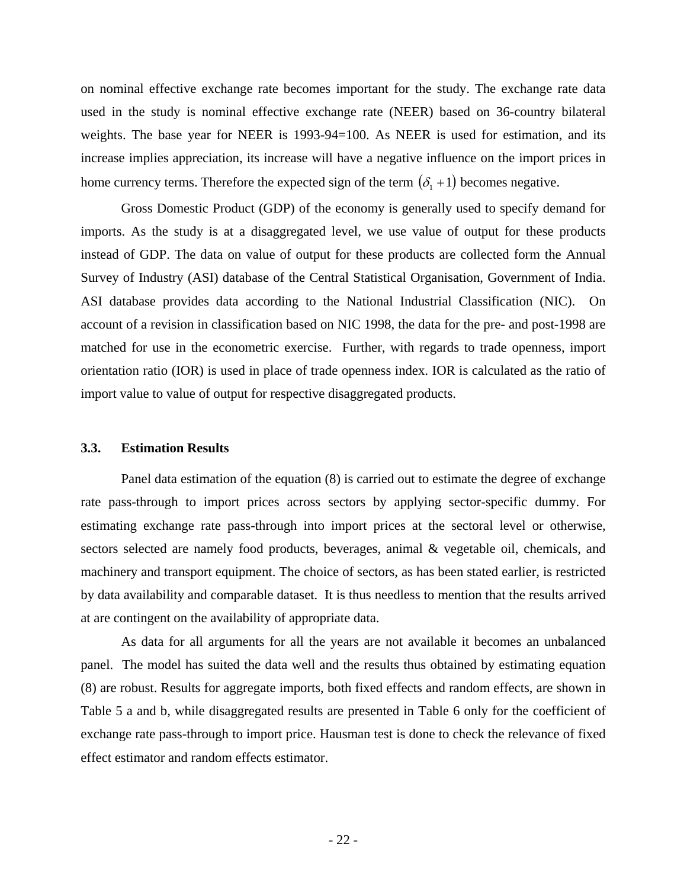on nominal effective exchange rate becomes important for the study. The exchange rate data used in the study is nominal effective exchange rate (NEER) based on 36-country bilateral weights. The base year for NEER is 1993-94=100. As NEER is used for estimation, and its increase implies appreciation, its increase will have a negative influence on the import prices in home currency terms. Therefore the expected sign of the term  $(\delta_1 + 1)$  becomes negative.

Gross Domestic Product (GDP) of the economy is generally used to specify demand for imports. As the study is at a disaggregated level, we use value of output for these products instead of GDP. The data on value of output for these products are collected form the Annual Survey of Industry (ASI) database of the Central Statistical Organisation, Government of India. ASI database provides data according to the National Industrial Classification (NIC). On account of a revision in classification based on NIC 1998, the data for the pre- and post-1998 are matched for use in the econometric exercise. Further, with regards to trade openness, import orientation ratio (IOR) is used in place of trade openness index. IOR is calculated as the ratio of import value to value of output for respective disaggregated products.

#### **3.3. Estimation Results**

Panel data estimation of the equation (8) is carried out to estimate the degree of exchange rate pass-through to import prices across sectors by applying sector-specific dummy. For estimating exchange rate pass-through into import prices at the sectoral level or otherwise, sectors selected are namely food products, beverages, animal & vegetable oil, chemicals, and machinery and transport equipment. The choice of sectors, as has been stated earlier, is restricted by data availability and comparable dataset. It is thus needless to mention that the results arrived at are contingent on the availability of appropriate data.

As data for all arguments for all the years are not available it becomes an unbalanced panel. The model has suited the data well and the results thus obtained by estimating equation (8) are robust. Results for aggregate imports, both fixed effects and random effects, are shown in Table 5 a and b, while disaggregated results are presented in Table 6 only for the coefficient of exchange rate pass-through to import price. Hausman test is done to check the relevance of fixed effect estimator and random effects estimator.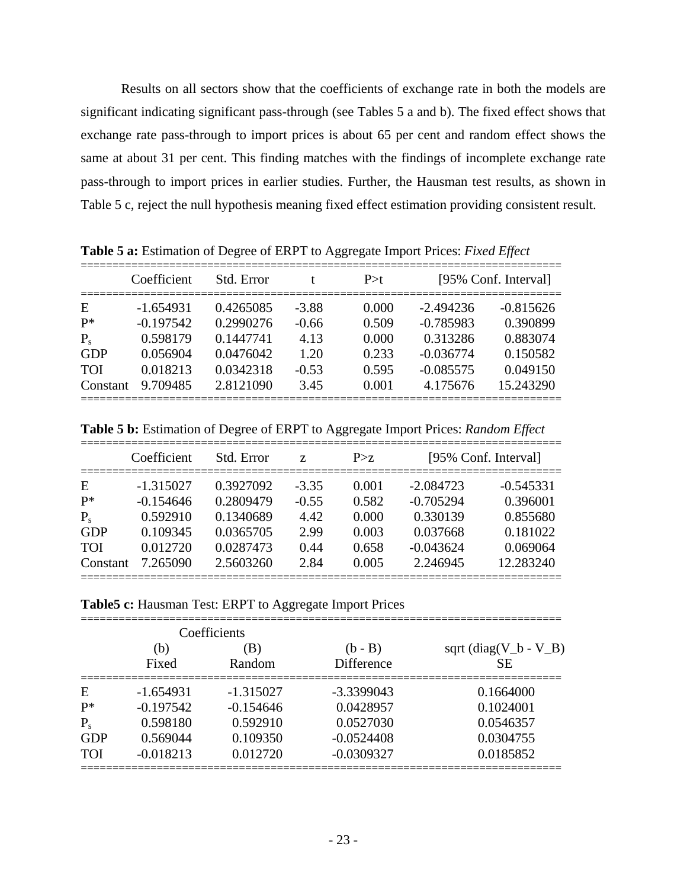Results on all sectors show that the coefficients of exchange rate in both the models are significant indicating significant pass-through (see Tables 5 a and b). The fixed effect shows that exchange rate pass-through to import prices is about 65 per cent and random effect shows the same at about 31 per cent. This finding matches with the findings of incomplete exchange rate pass-through to import prices in earlier studies. Further, the Hausman test results, as shown in Table 5 c, reject the null hypothesis meaning fixed effect estimation providing consistent result.

|            | Coefficient | Std. Error |         | P > t | [95% Conf. Interval] |             |
|------------|-------------|------------|---------|-------|----------------------|-------------|
| Ε          | $-1.654931$ | 0.4265085  | $-3.88$ | 0.000 | $-2.494236$          | $-0.815626$ |
| $P^*$      | $-0.197542$ | 0.2990276  | $-0.66$ | 0.509 | $-0.785983$          | 0.390899    |
| $P_{s}$    | 0.598179    | 0.1447741  | 4.13    | 0.000 | 0.313286             | 0.883074    |
| GDP        | 0.056904    | 0.0476042  | 1.20    | 0.233 | $-0.036774$          | 0.150582    |
| <b>TOI</b> | 0.018213    | 0.0342318  | $-0.53$ | 0.595 | $-0.085575$          | 0.049150    |
| Constant   | 9.709485    | 2.8121090  | 3.45    | 0.001 | 4.175676             | 15.243290   |

**Table 5 a:** Estimation of Degree of ERPT to Aggregate Import Prices: *Fixed Effect*

**Table 5 b:** Estimation of Degree of ERPT to Aggregate Import Prices: *Random Effect*

|            | Coefficient | Std. Error | Z       | P > z |             | [95% Conf. Interval] |
|------------|-------------|------------|---------|-------|-------------|----------------------|
| Ε          | $-1.315027$ | 0.3927092  | $-3.35$ | 0.001 | $-2.084723$ | $-0.545331$          |
| $P*$       | $-0.154646$ | 0.2809479  | $-0.55$ | 0.582 | $-0.705294$ | 0.396001             |
| $P_{s}$    | 0.592910    | 0.1340689  | 4.42    | 0.000 | 0.330139    | 0.855680             |
| GDP        | 0.109345    | 0.0365705  | 2.99    | 0.003 | 0.037668    | 0.181022             |
| <b>TOI</b> | 0.012720    | 0.0287473  | 0.44    | 0.658 | $-0.043624$ | 0.069064             |
| Constant   | 7.265090    | 2.5603260  | 2.84    | 0.005 | 2.246945    | 12.283240            |

**Table5 c:** Hausman Test: ERPT to Aggregate Import Prices

|            |              | Coefficients  |                         |                                 |
|------------|--------------|---------------|-------------------------|---------------------------------|
|            | (b)<br>Fixed | (B)<br>Random | $(b - B)$<br>Difference | sqrt $(diag(V_b - V_B))$<br>SE. |
| Ε          | $-1.654931$  | $-1.315027$   | $-3.3399043$            | 0.1664000                       |
| $P*$       | $-0.197542$  | $-0.154646$   | 0.0428957               | 0.1024001                       |
| $P_{s}$    | 0.598180     | 0.592910      | 0.0527030               | 0.0546357                       |
| <b>GDP</b> | 0.569044     | 0.109350      | $-0.0524408$            | 0.0304755                       |
| <b>TOI</b> | $-0.018213$  | 0.012720      | $-0.0309327$            | 0.0185852                       |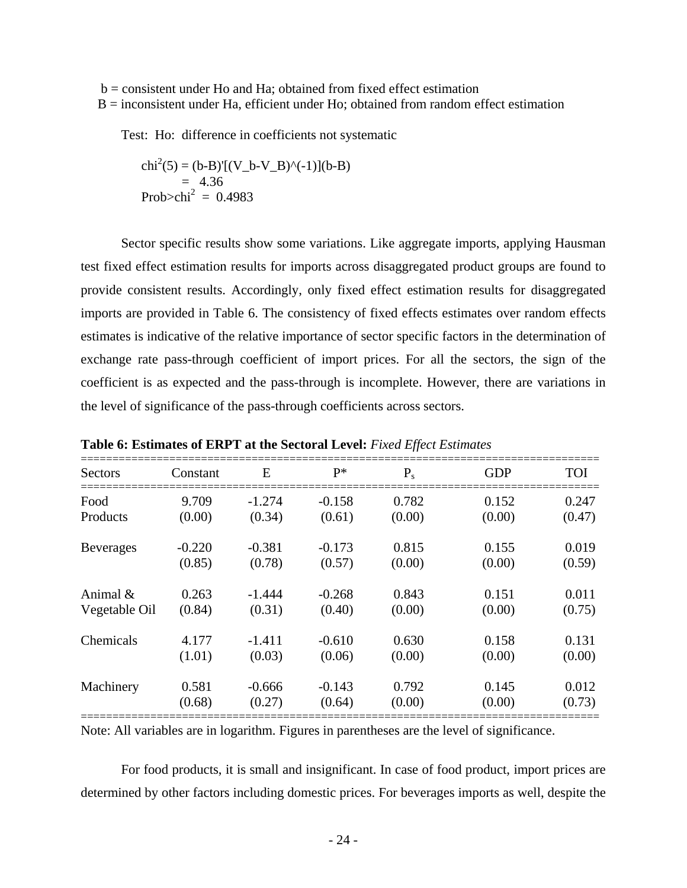$b =$  consistent under Ho and Ha; obtained from fixed effect estimation B = inconsistent under Ha, efficient under Ho; obtained from random effect estimation

Test: Ho: difference in coefficients not systematic

$$
chi2(5) = (b-B)'[(V_b-V_B)^(-1)](b-B)
$$
  
= 4.36  
Prob>chi<sup>2</sup> = 0.4983

Sector specific results show some variations. Like aggregate imports, applying Hausman test fixed effect estimation results for imports across disaggregated product groups are found to provide consistent results. Accordingly, only fixed effect estimation results for disaggregated imports are provided in Table 6. The consistency of fixed effects estimates over random effects estimates is indicative of the relative importance of sector specific factors in the determination of exchange rate pass-through coefficient of import prices. For all the sectors, the sign of the coefficient is as expected and the pass-through is incomplete. However, there are variations in the level of significance of the pass-through coefficients across sectors.

| <b>Sectors</b>   | Constant | E        | $P^*$    | $P_{s}$ | <b>GDP</b> | <b>TOI</b> |
|------------------|----------|----------|----------|---------|------------|------------|
| Food             | 9.709    | $-1.274$ | $-0.158$ | 0.782   | 0.152      | 0.247      |
| Products         | (0.00)   | (0.34)   | (0.61)   | (0.00)  | (0.00)     | (0.47)     |
| <b>Beverages</b> | $-0.220$ | $-0.381$ | $-0.173$ | 0.815   | 0.155      | 0.019      |
|                  | (0.85)   | (0.78)   | (0.57)   | (0.00)  | (0.00)     | (0.59)     |
| Animal $\&$      | 0.263    | $-1.444$ | $-0.268$ | 0.843   | 0.151      | 0.011      |
| Vegetable Oil    | (0.84)   | (0.31)   | (0.40)   | (0.00)  | (0.00)     | (0.75)     |
| Chemicals        | 4.177    | $-1.411$ | $-0.610$ | 0.630   | 0.158      | 0.131      |
|                  | (1.01)   | (0.03)   | (0.06)   | (0.00)  | (0.00)     | (0.00)     |
| Machinery        | 0.581    | $-0.666$ | $-0.143$ | 0.792   | 0.145      | 0.012      |
|                  | (0.68)   | (0.27)   | (0.64)   | (0.00)  | (0.00)     | (0.73)     |

**Table 6: Estimates of ERPT at the Sectoral Level:** *Fixed Effect Estimates*

Note: All variables are in logarithm. Figures in parentheses are the level of significance.

 For food products, it is small and insignificant. In case of food product, import prices are determined by other factors including domestic prices. For beverages imports as well, despite the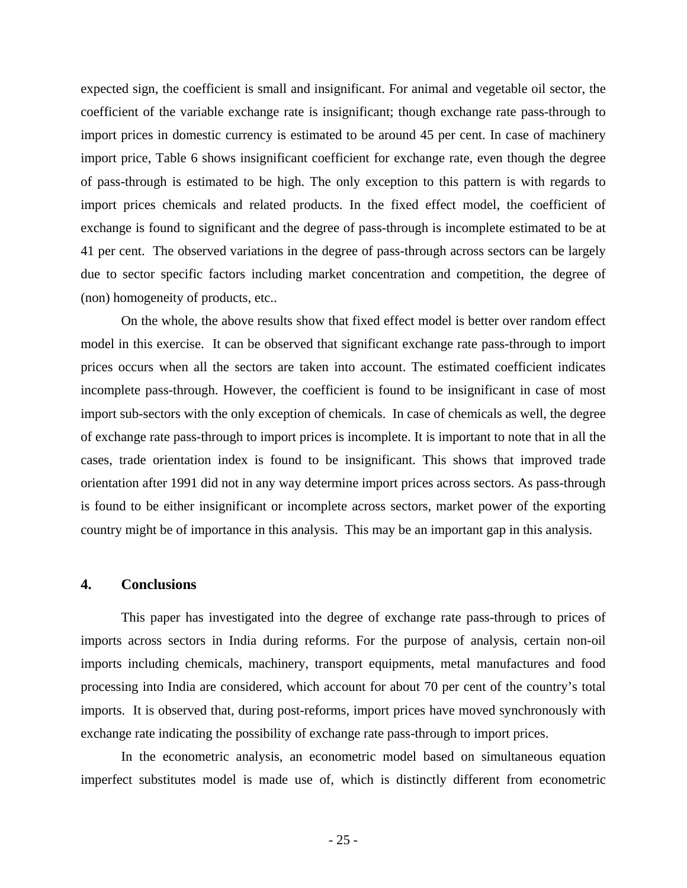expected sign, the coefficient is small and insignificant. For animal and vegetable oil sector, the coefficient of the variable exchange rate is insignificant; though exchange rate pass-through to import prices in domestic currency is estimated to be around 45 per cent. In case of machinery import price, Table 6 shows insignificant coefficient for exchange rate, even though the degree of pass-through is estimated to be high. The only exception to this pattern is with regards to import prices chemicals and related products. In the fixed effect model, the coefficient of exchange is found to significant and the degree of pass-through is incomplete estimated to be at 41 per cent. The observed variations in the degree of pass-through across sectors can be largely due to sector specific factors including market concentration and competition, the degree of (non) homogeneity of products, etc..

On the whole, the above results show that fixed effect model is better over random effect model in this exercise. It can be observed that significant exchange rate pass-through to import prices occurs when all the sectors are taken into account. The estimated coefficient indicates incomplete pass-through. However, the coefficient is found to be insignificant in case of most import sub-sectors with the only exception of chemicals. In case of chemicals as well, the degree of exchange rate pass-through to import prices is incomplete. It is important to note that in all the cases, trade orientation index is found to be insignificant. This shows that improved trade orientation after 1991 did not in any way determine import prices across sectors. As pass-through is found to be either insignificant or incomplete across sectors, market power of the exporting country might be of importance in this analysis. This may be an important gap in this analysis.

### **4. Conclusions**

This paper has investigated into the degree of exchange rate pass-through to prices of imports across sectors in India during reforms. For the purpose of analysis, certain non-oil imports including chemicals, machinery, transport equipments, metal manufactures and food processing into India are considered, which account for about 70 per cent of the country's total imports. It is observed that, during post-reforms, import prices have moved synchronously with exchange rate indicating the possibility of exchange rate pass-through to import prices.

In the econometric analysis, an econometric model based on simultaneous equation imperfect substitutes model is made use of, which is distinctly different from econometric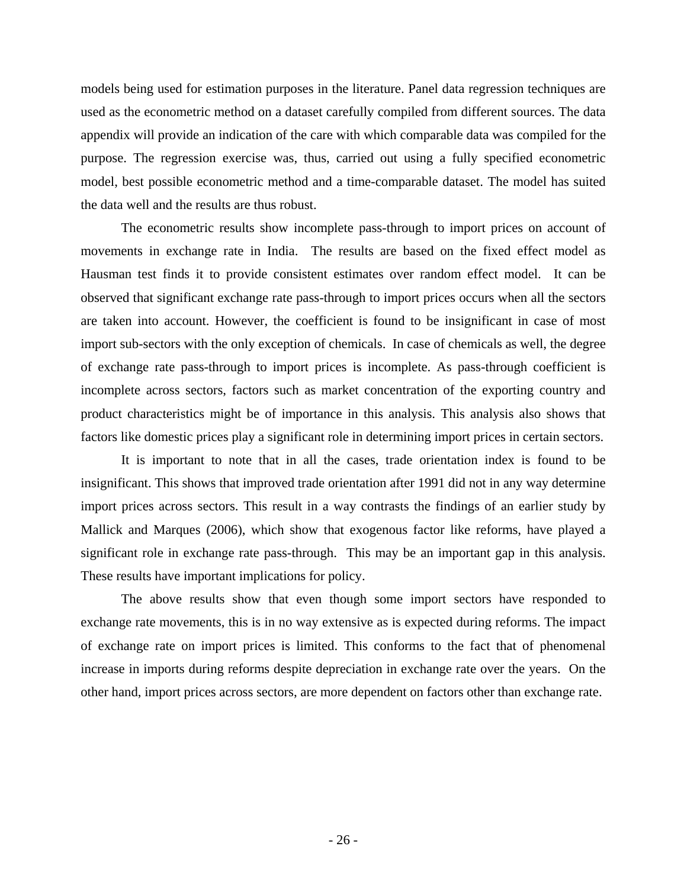models being used for estimation purposes in the literature. Panel data regression techniques are used as the econometric method on a dataset carefully compiled from different sources. The data appendix will provide an indication of the care with which comparable data was compiled for the purpose. The regression exercise was, thus, carried out using a fully specified econometric model, best possible econometric method and a time-comparable dataset. The model has suited the data well and the results are thus robust.

The econometric results show incomplete pass-through to import prices on account of movements in exchange rate in India. The results are based on the fixed effect model as Hausman test finds it to provide consistent estimates over random effect model. It can be observed that significant exchange rate pass-through to import prices occurs when all the sectors are taken into account. However, the coefficient is found to be insignificant in case of most import sub-sectors with the only exception of chemicals. In case of chemicals as well, the degree of exchange rate pass-through to import prices is incomplete. As pass-through coefficient is incomplete across sectors, factors such as market concentration of the exporting country and product characteristics might be of importance in this analysis. This analysis also shows that factors like domestic prices play a significant role in determining import prices in certain sectors.

It is important to note that in all the cases, trade orientation index is found to be insignificant. This shows that improved trade orientation after 1991 did not in any way determine import prices across sectors. This result in a way contrasts the findings of an earlier study by Mallick and Marques (2006), which show that exogenous factor like reforms, have played a significant role in exchange rate pass-through. This may be an important gap in this analysis. These results have important implications for policy.

The above results show that even though some import sectors have responded to exchange rate movements, this is in no way extensive as is expected during reforms. The impact of exchange rate on import prices is limited. This conforms to the fact that of phenomenal increase in imports during reforms despite depreciation in exchange rate over the years. On the other hand, import prices across sectors, are more dependent on factors other than exchange rate.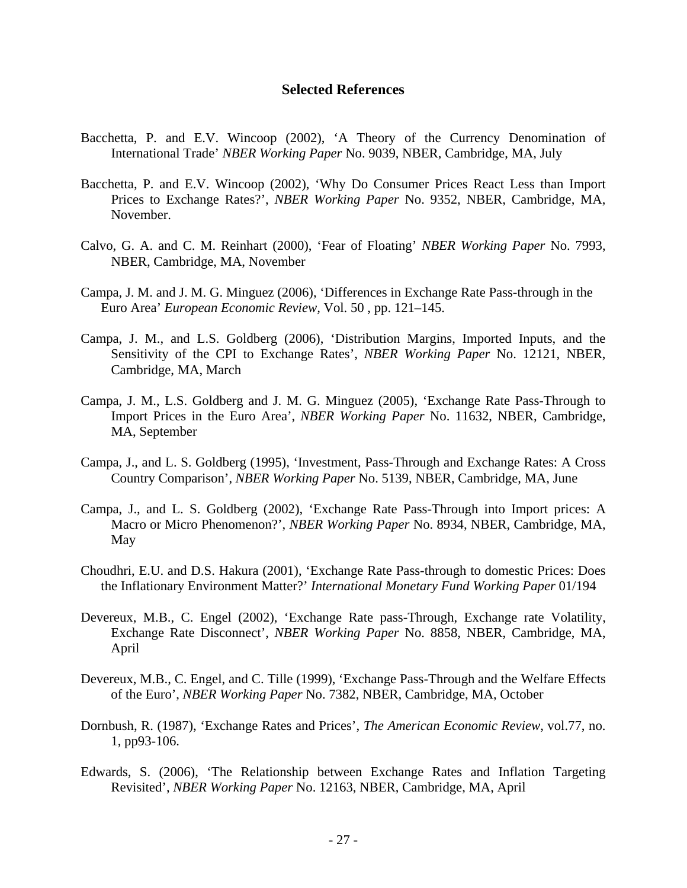### **Selected References**

- Bacchetta, P. and E.V. Wincoop (2002), 'A Theory of the Currency Denomination of International Trade' *NBER Working Paper* No. 9039, NBER, Cambridge, MA, July
- Bacchetta, P. and E.V. Wincoop (2002), 'Why Do Consumer Prices React Less than Import Prices to Exchange Rates?', *NBER Working Paper* No. 9352, NBER, Cambridge, MA, November.
- Calvo, G. A. and C. M. Reinhart (2000), 'Fear of Floating' *NBER Working Paper* No. 7993, NBER, Cambridge, MA, November
- Campa, J. M. and J. M. G. Minguez (2006), 'Differences in Exchange Rate Pass-through in the Euro Area' *European Economic Review,* Vol. 50 , pp. 121–145.
- Campa, J. M., and L.S. Goldberg (2006), 'Distribution Margins, Imported Inputs, and the Sensitivity of the CPI to Exchange Rates', *NBER Working Paper* No. 12121, NBER, Cambridge, MA, March
- Campa, J. M., L.S. Goldberg and J. M. G. Minguez (2005), 'Exchange Rate Pass-Through to Import Prices in the Euro Area', *NBER Working Paper* No. 11632, NBER, Cambridge, MA, September
- Campa, J., and L. S. Goldberg (1995), 'Investment, Pass-Through and Exchange Rates: A Cross Country Comparison', *NBER Working Paper* No. 5139, NBER, Cambridge, MA, June
- Campa, J., and L. S. Goldberg (2002), 'Exchange Rate Pass-Through into Import prices: A Macro or Micro Phenomenon?', *NBER Working Paper* No. 8934, NBER, Cambridge, MA, May
- Choudhri, E.U. and D.S. Hakura (2001), 'Exchange Rate Pass-through to domestic Prices: Does the Inflationary Environment Matter?' *International Monetary Fund Working Paper* 01/194
- Devereux, M.B., C. Engel (2002), 'Exchange Rate pass-Through, Exchange rate Volatility, Exchange Rate Disconnect', *NBER Working Paper* No. 8858, NBER, Cambridge, MA, April
- Devereux, M.B., C. Engel, and C. Tille (1999), 'Exchange Pass-Through and the Welfare Effects of the Euro', *NBER Working Paper* No. 7382, NBER, Cambridge, MA, October
- Dornbush, R. (1987), 'Exchange Rates and Prices', *The American Economic Review*, vol.77, no. 1, pp93-106.
- Edwards, S. (2006), 'The Relationship between Exchange Rates and Inflation Targeting Revisited', *NBER Working Paper* No. 12163, NBER, Cambridge, MA, April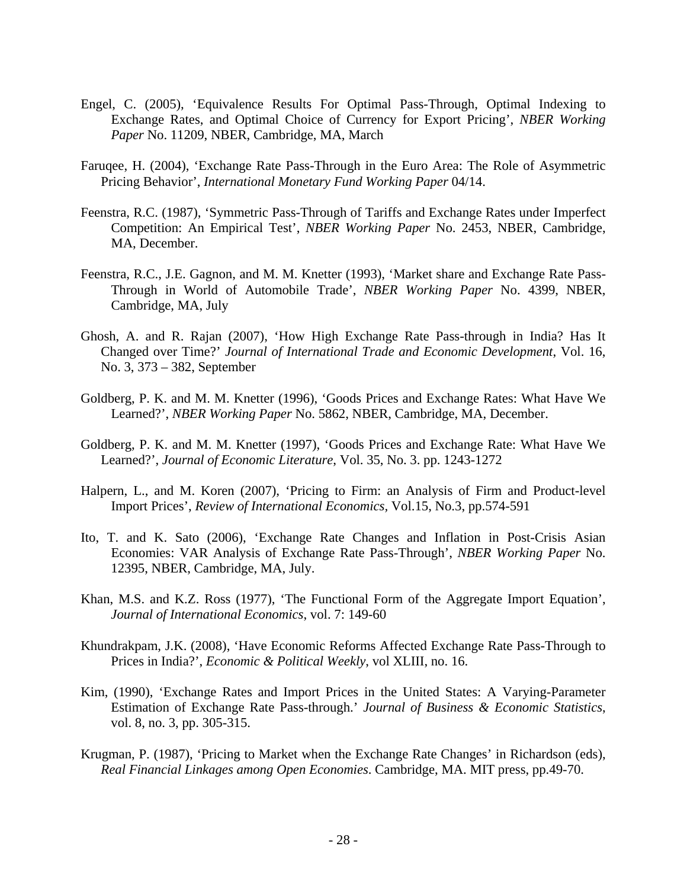- Engel, C. (2005), 'Equivalence Results For Optimal Pass-Through, Optimal Indexing to Exchange Rates, and Optimal Choice of Currency for Export Pricing', *NBER Working Paper* No. 11209, NBER, Cambridge, MA, March
- Faruqee, H. (2004), 'Exchange Rate Pass-Through in the Euro Area: The Role of Asymmetric Pricing Behavior', *International Monetary Fund Working Paper* 04/14.
- Feenstra, R.C. (1987), 'Symmetric Pass-Through of Tariffs and Exchange Rates under Imperfect Competition: An Empirical Test', *NBER Working Paper* No. 2453, NBER, Cambridge, MA, December.
- Feenstra, R.C., J.E. Gagnon, and M. M. Knetter (1993), 'Market share and Exchange Rate Pass-Through in World of Automobile Trade', *NBER Working Paper* No. 4399, NBER, Cambridge, MA, July
- Ghosh, A. and R. Rajan (2007), 'How High Exchange Rate Pass-through in India? Has It Changed over Time?' *Journal of International Trade and Economic Development*, Vol. 16, No. 3, 373 – 382, September
- Goldberg, P. K. and M. M. Knetter (1996), 'Goods Prices and Exchange Rates: What Have We Learned?', *NBER Working Paper* No. 5862, NBER, Cambridge, MA, December.
- Goldberg, P. K. and M. M. Knetter (1997), 'Goods Prices and Exchange Rate: What Have We Learned?', *Journal of Economic Literature*, Vol. 35, No. 3. pp. 1243-1272
- Halpern, L., and M. Koren (2007), 'Pricing to Firm: an Analysis of Firm and Product-level Import Prices', *Review of International Economics,* Vol.15, No.3, pp.574-591
- Ito, T. and K. Sato (2006), 'Exchange Rate Changes and Inflation in Post-Crisis Asian Economies: VAR Analysis of Exchange Rate Pass-Through', *NBER Working Paper* No. 12395, NBER, Cambridge, MA, July.
- Khan, M.S. and K.Z. Ross (1977), 'The Functional Form of the Aggregate Import Equation', *Journal of International Economics*, vol. 7: 149-60
- Khundrakpam, J.K. (2008), 'Have Economic Reforms Affected Exchange Rate Pass-Through to Prices in India?', *Economic & Political Weekly*, vol XLIII, no. 16.
- Kim, (1990), 'Exchange Rates and Import Prices in the United States: A Varying-Parameter Estimation of Exchange Rate Pass-through.' *Journal of Business & Economic Statistics*, vol. 8, no. 3, pp. 305-315.
- Krugman, P. (1987), 'Pricing to Market when the Exchange Rate Changes' in Richardson (eds), *Real Financial Linkages among Open Economies*. Cambridge, MA. MIT press, pp.49-70.